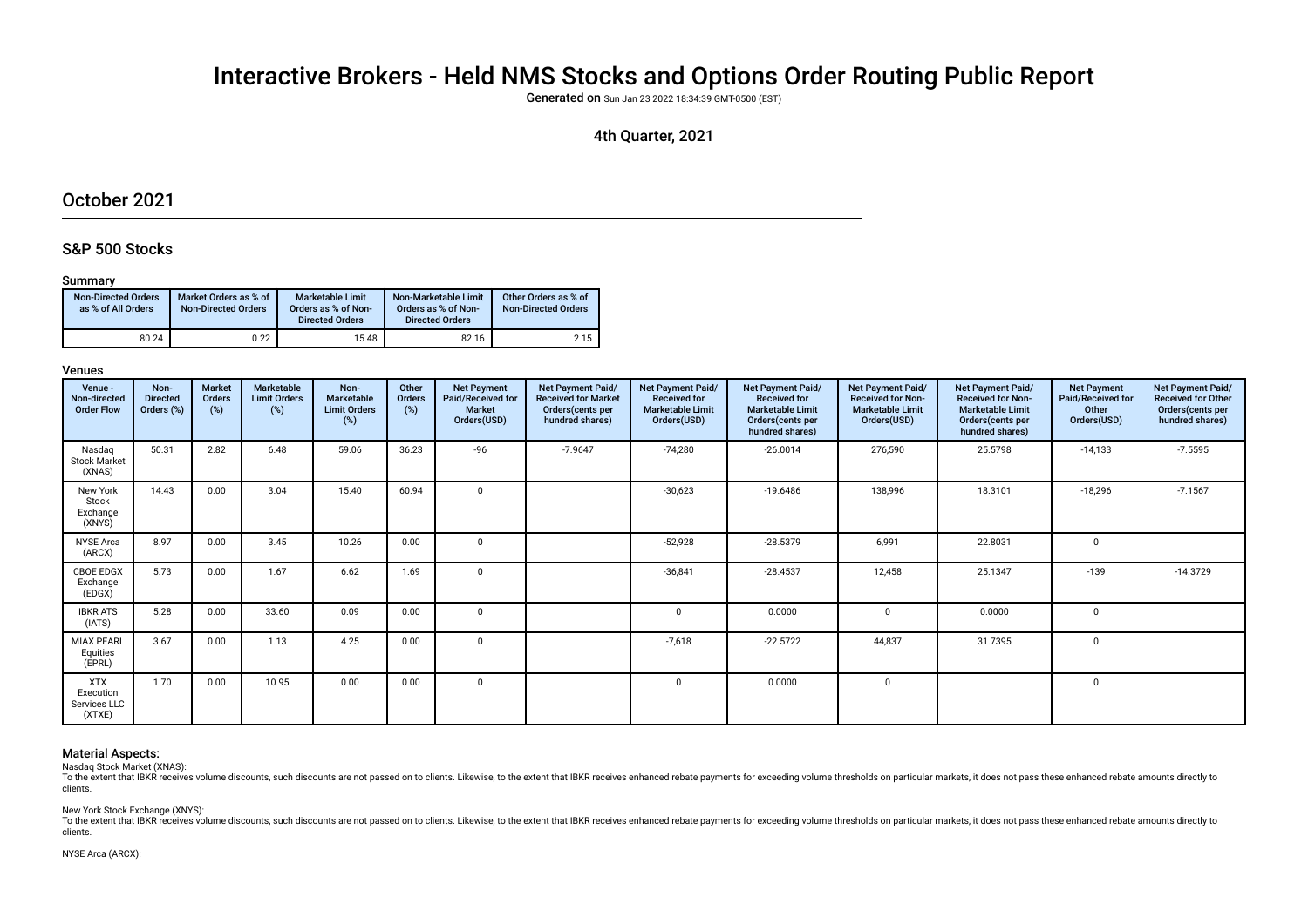# Interactive Brokers - Held NMS Stocks and Options Order Routing Public Report

Generated on Sun Jan 23 2022 18:34:39 GMT-0500 (EST)

# 4th Quarter, 2021

# October 2021

# S&P 500 Stocks

# Summary

| <b>Non-Directed Orders</b><br>as % of All Orders | Market Orders as % of<br><b>Non-Directed Orders</b> | <b>Marketable Limit</b><br>Orders as % of Non-<br><b>Directed Orders</b> | Non-Marketable Limit<br>Orders as % of Non-<br><b>Directed Orders</b> | Other Orders as % of<br><b>Non-Directed Orders</b> |
|--------------------------------------------------|-----------------------------------------------------|--------------------------------------------------------------------------|-----------------------------------------------------------------------|----------------------------------------------------|
| 80.24                                            | 0.22                                                | 15.48                                                                    | 82.16                                                                 | 2.15                                               |

# Venues

| Venue -<br>Non-directed<br><b>Order Flow</b>      | Non-<br><b>Directed</b><br>Orders (%) | <b>Market</b><br>Orders<br>(%) | Marketable<br><b>Limit Orders</b><br>(%) | Non-<br>Marketable<br><b>Limit Orders</b><br>$(\%)$ | Other<br>Orders<br>(%) | <b>Net Payment</b><br>Paid/Received for<br><b>Market</b><br>Orders(USD) | Net Payment Paid/<br><b>Received for Market</b><br>Orders (cents per<br>hundred shares) | Net Payment Paid/<br><b>Received for</b><br><b>Marketable Limit</b><br>Orders(USD) | Net Payment Paid/<br><b>Received for</b><br><b>Marketable Limit</b><br>Orders(cents per<br>hundred shares) | Net Payment Paid/<br>Received for Non-<br><b>Marketable Limit</b><br>Orders(USD) | Net Payment Paid/<br><b>Received for Non-</b><br><b>Marketable Limit</b><br>Orders (cents per<br>hundred shares) | <b>Net Payment</b><br>Paid/Received for<br>Other<br>Orders(USD) | Net Payment Paid/<br><b>Received for Other</b><br>Orders(cents per<br>hundred shares) |
|---------------------------------------------------|---------------------------------------|--------------------------------|------------------------------------------|-----------------------------------------------------|------------------------|-------------------------------------------------------------------------|-----------------------------------------------------------------------------------------|------------------------------------------------------------------------------------|------------------------------------------------------------------------------------------------------------|----------------------------------------------------------------------------------|------------------------------------------------------------------------------------------------------------------|-----------------------------------------------------------------|---------------------------------------------------------------------------------------|
| Nasdag<br><b>Stock Market</b><br>(XNAS)           | 50.31                                 | 2.82                           | 6.48                                     | 59.06                                               | 36.23                  | $-96$                                                                   | $-7.9647$                                                                               | $-74,280$                                                                          | $-26.0014$                                                                                                 | 276,590                                                                          | 25.5798                                                                                                          | $-14,133$                                                       | $-7.5595$                                                                             |
| New York<br>Stock<br>Exchange<br>(XNYS)           | 14.43                                 | 0.00                           | 3.04                                     | 15.40                                               | 60.94                  | $\mathbf 0$                                                             |                                                                                         | $-30,623$                                                                          | $-19.6486$                                                                                                 | 138,996                                                                          | 18.3101                                                                                                          | $-18,296$                                                       | $-7.1567$                                                                             |
| <b>NYSE Arca</b><br>(ARCX)                        | 8.97                                  | 0.00                           | 3.45                                     | 10.26                                               | 0.00                   | $\mathbf 0$                                                             |                                                                                         | $-52,928$                                                                          | $-28.5379$                                                                                                 | 6,991                                                                            | 22.8031                                                                                                          | $\mathbf 0$                                                     |                                                                                       |
| CBOE EDGX<br>Exchange<br>(EDGX)                   | 5.73                                  | 0.00                           | 1.67                                     | 6.62                                                | 1.69                   | $\mathbf 0$                                                             |                                                                                         | $-36,841$                                                                          | $-28.4537$                                                                                                 | 12,458                                                                           | 25.1347                                                                                                          | $-139$                                                          | $-14.3729$                                                                            |
| <b>IBKR ATS</b><br>(IATS)                         | 5.28                                  | 0.00                           | 33.60                                    | 0.09                                                | 0.00                   | $\mathbf 0$                                                             |                                                                                         | $\Omega$                                                                           | 0.0000                                                                                                     | $\Omega$                                                                         | 0.0000                                                                                                           | $\Omega$                                                        |                                                                                       |
| <b>MIAX PEARL</b><br>Equities<br>(EPRL)           | 3.67                                  | 0.00                           | 1.13                                     | 4.25                                                | 0.00                   | $\Omega$                                                                |                                                                                         | $-7,618$                                                                           | $-22.5722$                                                                                                 | 44,837                                                                           | 31.7395                                                                                                          | $\Omega$                                                        |                                                                                       |
| <b>XTX</b><br>Execution<br>Services LLC<br>(XTXE) | 1.70                                  | 0.00                           | 10.95                                    | 0.00                                                | 0.00                   | $\mathbf 0$                                                             |                                                                                         | $\Omega$                                                                           | 0.0000                                                                                                     | $\mathbf 0$                                                                      |                                                                                                                  | 0                                                               |                                                                                       |

# Material Aspects:

Nasdaq Stock Market (XNAS):

To the extent that lBKR receives volume discounts, such discounts are not passed on to clients. Likewise, to the extent that IBKR receives enhanced rebate payments for exceeding volume thresholds on particular markets, it clients.

New York Stock Exchange (XNYS):

To the extent that IBKR receives volume discounts, such discounts are not passed on to clients. Likewise, to the extent that IBKR receives enhanced rebate payments for exceeding volume thresholds on particular markets, it clients.

## NYSE Arca (ARCX):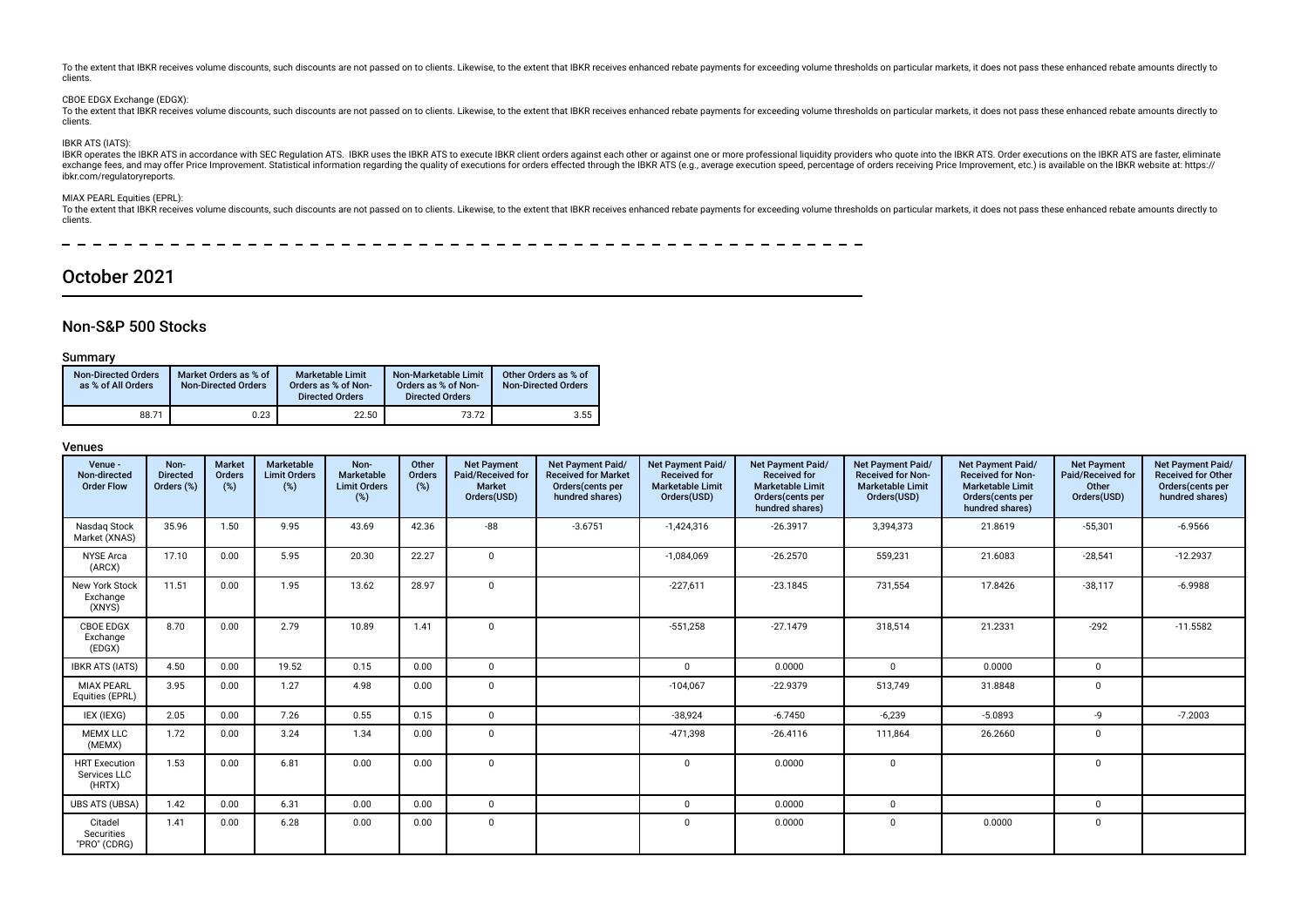To the extent that IBKR receives volume discounts, such discounts are not passed on to clients. Likewise, to the extent that IBKR receives enhanced rebate payments for exceeding volume thresholds on particular markets, it clients.

## CBOE EDGX Exchange (EDGX):

To the extent that JBKR receives volume discounts, such discounts are not passed on to clients. Likewise, to the extent that IBKR receives enhanced rebate payments for exceeding volume thresholds on particular markets, it clients.

# IBKR ATS (IATS):

IBKR operates the IBKR ATS in accordance with SEC Regulation ATS. IBKR uses the IBKR ATS to execute IBKR client orders against each other or against one or more professional liquidity providers who quote into the IBKR ATS ibkr.com/regulatoryreports.

# MIAX PEARL Equities (EPRL):

To the extent that IBKR receives volume discounts, such discounts are not passed on to clients. Likewise, to the extent that IBKR receives enhanced rebate payments for exceeding volume thresholds on particular markets, it clients.

# October 2021

# Non-S&P 500 Stocks

# Summary

| <b>Non-Directed Orders</b><br>as % of All Orders | Market Orders as % of<br><b>Non-Directed Orders</b> | <b>Marketable Limit</b><br>Orders as % of Non-<br><b>Directed Orders</b> | Non-Marketable Limit<br>Orders as % of Non-<br><b>Directed Orders</b> | Other Orders as % of<br><b>Non-Directed Orders</b> |
|--------------------------------------------------|-----------------------------------------------------|--------------------------------------------------------------------------|-----------------------------------------------------------------------|----------------------------------------------------|
| 88.71                                            | 0.23                                                | 22.50                                                                    | 73.72                                                                 | 3.55                                               |

| Venue -<br>Non-directed<br><b>Order Flow</b>   | Non-<br><b>Directed</b><br>Orders (%) | <b>Market</b><br>Orders<br>(%) | <b>Marketable</b><br><b>Limit Orders</b><br>(%) | Non-<br>Marketable<br><b>Limit Orders</b><br>(%) | Other<br>Orders<br>(%) | <b>Net Payment</b><br>Paid/Received for<br><b>Market</b><br>Orders(USD) | Net Payment Paid/<br><b>Received for Market</b><br>Orders(cents per<br>hundred shares) | Net Payment Paid/<br><b>Received for</b><br><b>Marketable Limit</b><br>Orders(USD) | <b>Net Payment Paid/</b><br><b>Received for</b><br><b>Marketable Limit</b><br>Orders(cents per<br>hundred shares) | Net Payment Paid/<br><b>Received for Non-</b><br><b>Marketable Limit</b><br>Orders(USD) | <b>Net Payment Paid/</b><br><b>Received for Non-</b><br><b>Marketable Limit</b><br>Orders (cents per<br>hundred shares) | <b>Net Payment</b><br>Paid/Received for<br>Other<br>Orders(USD) | Net Payment Paid/<br><b>Received for Other</b><br>Orders(cents per<br>hundred shares) |
|------------------------------------------------|---------------------------------------|--------------------------------|-------------------------------------------------|--------------------------------------------------|------------------------|-------------------------------------------------------------------------|----------------------------------------------------------------------------------------|------------------------------------------------------------------------------------|-------------------------------------------------------------------------------------------------------------------|-----------------------------------------------------------------------------------------|-------------------------------------------------------------------------------------------------------------------------|-----------------------------------------------------------------|---------------------------------------------------------------------------------------|
| Nasdag Stock<br>Market (XNAS)                  | 35.96                                 | 1.50                           | 9.95                                            | 43.69                                            | 42.36                  | $-88-$                                                                  | $-3.6751$                                                                              | $-1,424,316$                                                                       | $-26.3917$                                                                                                        | 3,394,373                                                                               | 21.8619                                                                                                                 | $-55,301$                                                       | $-6.9566$                                                                             |
| <b>NYSE Arca</b><br>(ARCX)                     | 17.10                                 | 0.00                           | 5.95                                            | 20.30                                            | 22.27                  | $\Omega$                                                                |                                                                                        | $-1,084,069$                                                                       | $-26.2570$                                                                                                        | 559,231                                                                                 | 21.6083                                                                                                                 | $-28,541$                                                       | $-12.2937$                                                                            |
| New York Stock<br>Exchange<br>(XNYS)           | 11.51                                 | 0.00                           | 1.95                                            | 13.62                                            | 28.97                  | $\Omega$                                                                |                                                                                        | $-227,611$                                                                         | $-23.1845$                                                                                                        | 731,554                                                                                 | 17.8426                                                                                                                 | $-38,117$                                                       | $-6.9988$                                                                             |
| <b>CBOE EDGX</b><br>Exchange<br>(EDGX)         | 8.70                                  | 0.00                           | 2.79                                            | 10.89                                            | 1.41                   | $\Omega$                                                                |                                                                                        | $-551,258$                                                                         | $-27.1479$                                                                                                        | 318,514                                                                                 | 21.2331                                                                                                                 | $-292$                                                          | $-11.5582$                                                                            |
| <b>IBKR ATS (IATS)</b>                         | 4.50                                  | 0.00                           | 19.52                                           | 0.15                                             | 0.00                   | $\mathbf 0$                                                             |                                                                                        | $\Omega$                                                                           | 0.0000                                                                                                            | $\mathbf 0$                                                                             | 0.0000                                                                                                                  | $\mathbf{0}$                                                    |                                                                                       |
| <b>MIAX PEARL</b><br>Equities (EPRL)           | 3.95                                  | 0.00                           | 1.27                                            | 4.98                                             | 0.00                   | $\Omega$                                                                |                                                                                        | $-104,067$                                                                         | $-22.9379$                                                                                                        | 513,749                                                                                 | 31.8848                                                                                                                 | $\mathbf 0$                                                     |                                                                                       |
| IEX (IEXG)                                     | 2.05                                  | 0.00                           | 7.26                                            | 0.55                                             | 0.15                   | $\mathbf 0$                                                             |                                                                                        | $-38,924$                                                                          | $-6.7450$                                                                                                         | $-6,239$                                                                                | $-5.0893$                                                                                                               | -9                                                              | $-7.2003$                                                                             |
| <b>MEMX LLC</b><br>(MEMX)                      | 1.72                                  | 0.00                           | 3.24                                            | 1.34                                             | 0.00                   | $\Omega$                                                                |                                                                                        | $-471,398$                                                                         | $-26.4116$                                                                                                        | 111,864                                                                                 | 26.2660                                                                                                                 | $\mathbf 0$                                                     |                                                                                       |
| <b>HRT</b> Execution<br>Services LLC<br>(HRTX) | 1.53                                  | 0.00                           | 6.81                                            | 0.00                                             | 0.00                   | $\Omega$                                                                |                                                                                        | 0                                                                                  | 0.0000                                                                                                            | $\mathbf 0$                                                                             |                                                                                                                         | $\mathbf 0$                                                     |                                                                                       |
| <b>UBS ATS (UBSA)</b>                          | 1.42                                  | 0.00                           | 6.31                                            | 0.00                                             | 0.00                   | $\Omega$                                                                |                                                                                        | $\Omega$                                                                           | 0.0000                                                                                                            | $\mathbf{0}$                                                                            |                                                                                                                         | $\mathbf 0$                                                     |                                                                                       |
| Citadel<br>Securities<br>"PRO" (CDRG)          | 1.41                                  | 0.00                           | 6.28                                            | 0.00                                             | 0.00                   | $\Omega$                                                                |                                                                                        | $\Omega$                                                                           | 0.0000                                                                                                            | $\Omega$                                                                                | 0.0000                                                                                                                  | $\mathbf 0$                                                     |                                                                                       |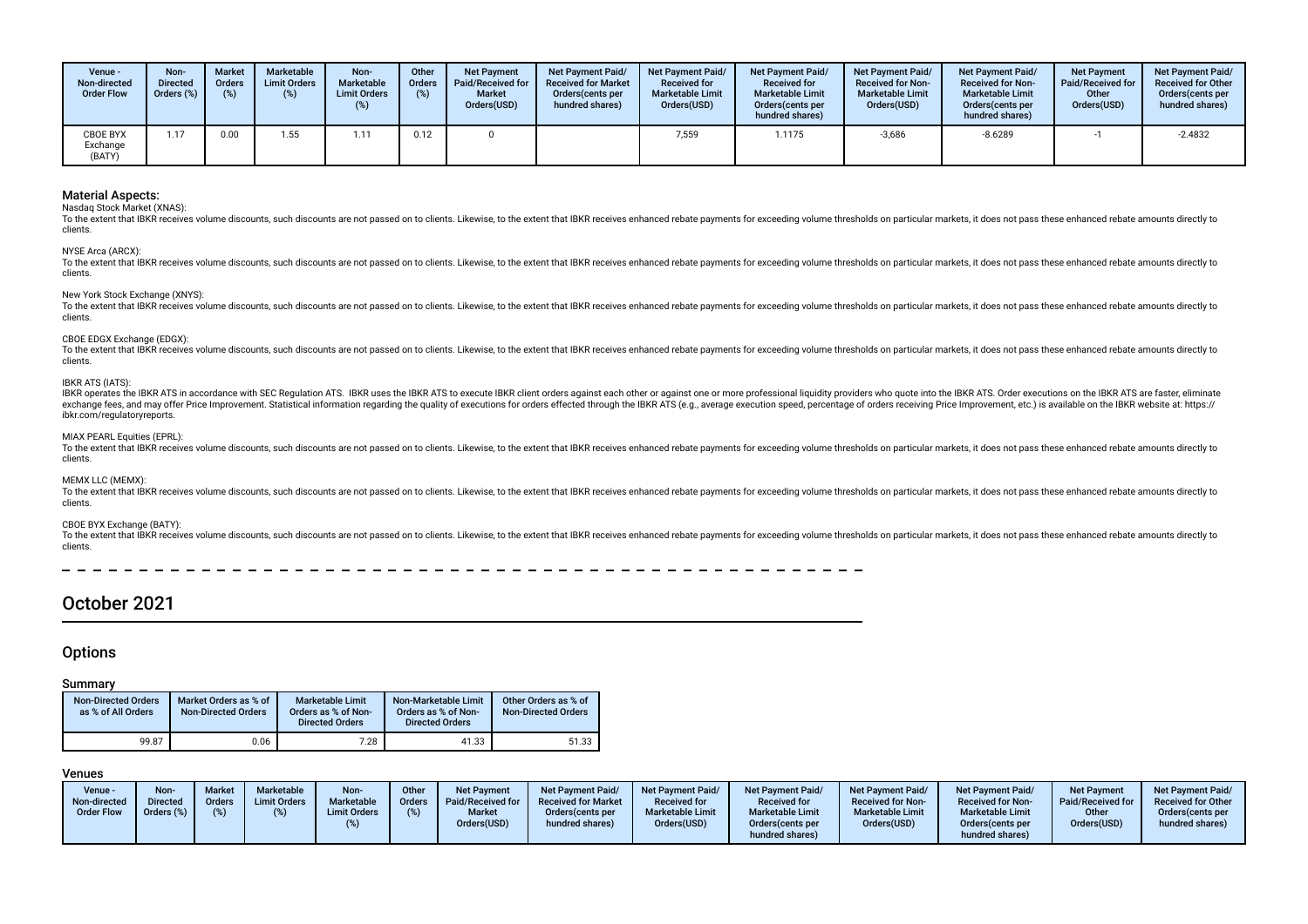| Venue -<br>Non-directed<br><b>Order Flow</b> | Non-<br><b>Directed</b><br>Orders (%) | <b>Market</b><br><b>Orders</b><br>(9) | Marketable<br><b>Limit Orders</b><br>(%) | Non-<br>Marketable<br><b>Limit Orders</b><br>(%) | Other<br><b>Orders</b><br>(9) | <b>Net Payment</b><br>Paid/Received for<br><b>Market</b><br>Orders(USD) | <b>Net Payment Paid/</b><br><b>Received for Market</b><br>Orders (cents per<br>hundred shares) | <b>Net Payment Paid/</b><br><b>Received for</b><br><b>Marketable Limit</b><br>Orders(USD) | <b>Net Payment Paid/</b><br><b>Received for</b><br><b>Marketable Limit</b><br>Orders (cents per<br>hundred shares) | Net Payment Paid/<br><b>Received for Non-</b><br><b>Marketable Limit</b><br>Orders(USD) | <b>Net Payment Paid/</b><br><b>Received for Non-</b><br><b>Marketable Limit</b><br>Orders (cents per<br>hundred shares) | <b>Net Payment</b><br>Paid/Received for<br>Other<br>Orders(USD) | <b>Net Payment Paid/</b><br><b>Received for Other</b><br>Orders (cents per<br>hundred shares) |
|----------------------------------------------|---------------------------------------|---------------------------------------|------------------------------------------|--------------------------------------------------|-------------------------------|-------------------------------------------------------------------------|------------------------------------------------------------------------------------------------|-------------------------------------------------------------------------------------------|--------------------------------------------------------------------------------------------------------------------|-----------------------------------------------------------------------------------------|-------------------------------------------------------------------------------------------------------------------------|-----------------------------------------------------------------|-----------------------------------------------------------------------------------------------|
| <b>CBOE BYX</b><br>Exchange<br>(BATY)        | 1.17                                  | 0.00                                  | 1.55                                     | .11                                              | 0.12                          |                                                                         |                                                                                                | 7,559                                                                                     | 1.1175                                                                                                             | $-3,686$                                                                                | $-8.6289$                                                                                                               |                                                                 | $-2.4832$                                                                                     |

Nasdaq Stock Market (XNAS):

To the extent that IBKR receives volume discounts, such discounts are not passed on to clients. Likewise, to the extent that IBKR receives enhanced rebate payments for exceeding volume thresholds on particular markets, it clients.

NYSE Arca (ARCX):

To the extent that IBKR receives volume discounts, such discounts are not passed on to clients. Likewise, to the extent that IBKR receives enhanced rebate payments for exceeding volume thresholds on particular markets, it clients.

New York Stock Exchange (XNYS):

To the extent that IBKR receives volume discounts, such discounts are not passed on to clients. Likewise, to the extent that IBKR receives enhanced rebate payments for exceeding volume thresholds on particular markets, it clients.

### CBOE EDGX Exchange (EDGX):

To the extent that IBKR receives volume discounts, such discounts are not passed on to clients. Likewise, to the extent that IBKR receives enhanced rebate payments for exceeding volume thresholds on particular markets, it clients.

### IBKR ATS (IATS):

IBKR operates the IBKR ATS in accordance with SEC Regulation ATS. IBKR uses the IBKR ATS to execute IBKR client orders against each other or against one or more professional liguidity providers who quote into the IBKR ATS. exchange fees, and may offer Price Improvement. Statistical information regarding the quality of executions for orders effected through the IBKR ATS (e.g., average execution speed, percentage of orders receiving Price Impr ibkr.com/regulatoryreports.

## MIAX PEARL Equities (EPRL):

To the extent that IBKR receives volume discounts, such discounts are not passed on to clients. Likewise, to the extent that IBKR receives enhanced rebate payments for exceeding volume thresholds on particular markets, it clients.

# MEMX LLC (MEMX):

To the extent that IBKR receives volume discounts, such discounts are not passed on to clients. Likewise, to the extent that IBKR receives enhanced rebate payments for exceeding volume thresholds on particular markets, it clients.

# CBOE BYX Exchange (BATY):

To the extent that JBKR receives volume discounts, such discounts are not passed on to clients. Likewise, to the extent that IBKR receives enhanced rebate payments for exceeding volume thresholds on particular markets, it clients.

# October 2021

# **Options**

# Summary

| <b>Non-Directed Orders</b><br>as % of All Orders | Market Orders as % of<br><b>Non-Directed Orders</b> | <b>Marketable Limit</b><br>Orders as % of Non-<br><b>Directed Orders</b> | Non-Marketable Limit<br>Orders as % of Non-<br><b>Directed Orders</b> | Other Orders as % of<br><b>Non-Directed Orders</b> |
|--------------------------------------------------|-----------------------------------------------------|--------------------------------------------------------------------------|-----------------------------------------------------------------------|----------------------------------------------------|
| 99.87                                            | 0.06                                                | 7.28                                                                     | 41.33                                                                 | 51.33                                              |

| Venue -<br>Non-directed<br><b>Order Flow</b> | Non-<br><b>Directed</b><br>Orders (%) | <b>Market</b><br>Orders | Marketable<br><b>Limit Orders</b> | Non-<br>Marketable<br><b>Limit Orders</b> | Other<br><b>Orders</b> | <b>Net Payment</b><br><b>Paid/Received for</b><br><b>Market</b><br>Orders(USD) | <b>Net Payment Paid/</b><br><b>Received for Market</b><br>Orders (cents per<br>hundred shares) | <b>Net Payment Paid/</b><br><b>Received for</b><br><b>Marketable Limit</b><br>Orders(USD) | <b>Net Payment Paid/</b><br><b>Received for</b><br><b>Marketable Limit</b><br>Orders (cents per | <b>Net Payment Paid/</b><br><b>Received for Non-</b><br><b>Marketable Limit</b><br>Orders(USD) | <b>Net Payment Paid/</b><br><b>Received for Non-</b><br><b>Marketable Limit</b><br>Orders(cents per | Net Payment<br><b>Paid/Received for</b><br>Other<br>Orders(USD) | <b>Net Payment Paid/</b><br><b>Received for Other</b><br>Orders(cents per<br>hundred shares) |
|----------------------------------------------|---------------------------------------|-------------------------|-----------------------------------|-------------------------------------------|------------------------|--------------------------------------------------------------------------------|------------------------------------------------------------------------------------------------|-------------------------------------------------------------------------------------------|-------------------------------------------------------------------------------------------------|------------------------------------------------------------------------------------------------|-----------------------------------------------------------------------------------------------------|-----------------------------------------------------------------|----------------------------------------------------------------------------------------------|
|                                              |                                       |                         |                                   |                                           |                        |                                                                                |                                                                                                |                                                                                           | hundred shares)                                                                                 |                                                                                                | hundred shares)                                                                                     |                                                                 |                                                                                              |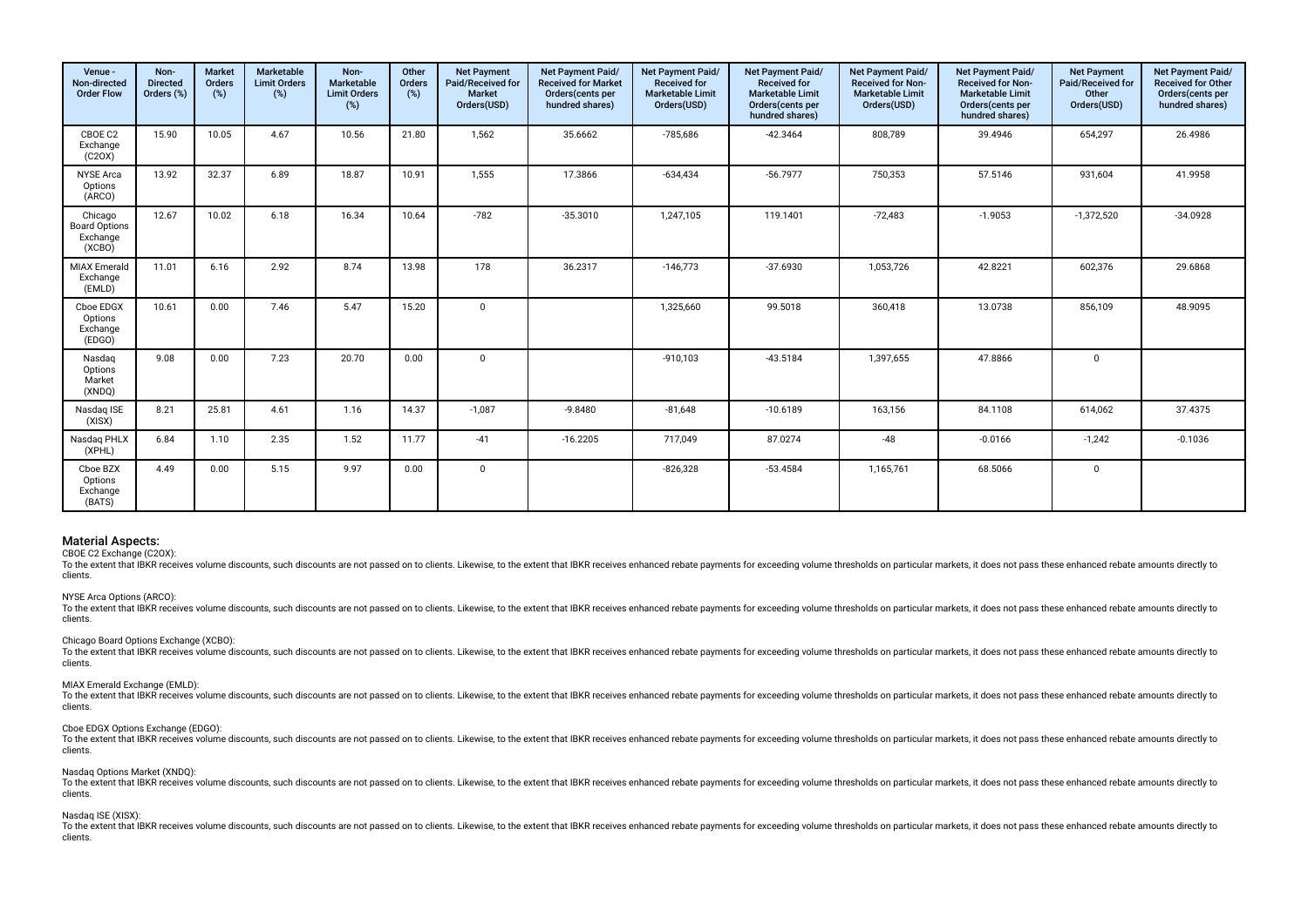| Venue -<br>Non-directed<br><b>Order Flow</b>          | Non-<br><b>Directed</b><br>Orders (%) | <b>Market</b><br>Orders<br>(%) | <b>Marketable</b><br><b>Limit Orders</b><br>(%) | Non-<br>Marketable<br><b>Limit Orders</b><br>$(\%)$ | Other<br>Orders<br>(%) | <b>Net Payment</b><br>Paid/Received for<br>Market<br>Orders(USD) | Net Payment Paid/<br><b>Received for Market</b><br>Orders (cents per<br>hundred shares) | Net Payment Paid/<br><b>Received for</b><br><b>Marketable Limit</b><br>Orders(USD) | Net Payment Paid/<br>Received for<br><b>Marketable Limit</b><br>Orders(cents per<br>hundred shares) | Net Payment Paid/<br><b>Received for Non-</b><br><b>Marketable Limit</b><br>Orders(USD) | Net Payment Paid/<br><b>Received for Non-</b><br><b>Marketable Limit</b><br>Orders(cents per<br>hundred shares) | <b>Net Payment</b><br>Paid/Received for<br>Other<br>Orders(USD) | Net Payment Paid/<br><b>Received for Other</b><br>Orders (cents per<br>hundred shares) |
|-------------------------------------------------------|---------------------------------------|--------------------------------|-------------------------------------------------|-----------------------------------------------------|------------------------|------------------------------------------------------------------|-----------------------------------------------------------------------------------------|------------------------------------------------------------------------------------|-----------------------------------------------------------------------------------------------------|-----------------------------------------------------------------------------------------|-----------------------------------------------------------------------------------------------------------------|-----------------------------------------------------------------|----------------------------------------------------------------------------------------|
| CBOE C2<br>Exchange<br>(C20X)                         | 15.90                                 | 10.05                          | 4.67                                            | 10.56                                               | 21.80                  | 1,562                                                            | 35.6662                                                                                 | $-785,686$                                                                         | $-42.3464$                                                                                          | 808,789                                                                                 | 39.4946                                                                                                         | 654,297                                                         | 26.4986                                                                                |
| <b>NYSE Arca</b><br>Options<br>(ARCO)                 | 13.92                                 | 32.37                          | 6.89                                            | 18.87                                               | 10.91                  | 1,555                                                            | 17.3866                                                                                 | $-634,434$                                                                         | $-56.7977$                                                                                          | 750,353                                                                                 | 57.5146                                                                                                         | 931,604                                                         | 41.9958                                                                                |
| Chicago<br><b>Board Options</b><br>Exchange<br>(XCBO) | 12.67                                 | 10.02                          | 6.18                                            | 16.34                                               | 10.64                  | $-782$                                                           | $-35.3010$                                                                              | 1,247,105                                                                          | 119.1401                                                                                            | $-72,483$                                                                               | $-1.9053$                                                                                                       | $-1,372,520$                                                    | $-34.0928$                                                                             |
| <b>MIAX Emerald</b><br>Exchange<br>(EMLD)             | 11.01                                 | 6.16                           | 2.92                                            | 8.74                                                | 13.98                  | 178                                                              | 36.2317                                                                                 | $-146,773$                                                                         | $-37.6930$                                                                                          | 1,053,726                                                                               | 42.8221                                                                                                         | 602,376                                                         | 29.6868                                                                                |
| Cboe EDGX<br>Options<br>Exchange<br>(EDGO)            | 10.61                                 | 0.00                           | 7.46                                            | 5.47                                                | 15.20                  | $\mathbf 0$                                                      |                                                                                         | 1,325,660                                                                          | 99.5018                                                                                             | 360,418                                                                                 | 13.0738                                                                                                         | 856,109                                                         | 48.9095                                                                                |
| Nasdag<br>Options<br>Market<br>(XNDQ)                 | 9.08                                  | 0.00                           | 7.23                                            | 20.70                                               | 0.00                   | $\Omega$                                                         |                                                                                         | $-910,103$                                                                         | $-43.5184$                                                                                          | 1,397,655                                                                               | 47.8866                                                                                                         | $\mathbf 0$                                                     |                                                                                        |
| Nasdaq ISE<br>(XISX)                                  | 8.21                                  | 25.81                          | 4.61                                            | 1.16                                                | 14.37                  | $-1,087$                                                         | $-9.8480$                                                                               | $-81,648$                                                                          | $-10.6189$                                                                                          | 163,156                                                                                 | 84.1108                                                                                                         | 614,062                                                         | 37.4375                                                                                |
| Nasdag PHLX<br>(XPHL)                                 | 6.84                                  | 1.10                           | 2.35                                            | 1.52                                                | 11.77                  | $-41$                                                            | $-16.2205$                                                                              | 717,049                                                                            | 87.0274                                                                                             | $-48$                                                                                   | $-0.0166$                                                                                                       | $-1,242$                                                        | $-0.1036$                                                                              |
| Cboe BZX<br>Options<br>Exchange<br>(BATS)             | 4.49                                  | 0.00                           | 5.15                                            | 9.97                                                | 0.00                   | $\mathbf 0$                                                      |                                                                                         | $-826,328$                                                                         | $-53.4584$                                                                                          | 1,165,761                                                                               | 68.5066                                                                                                         | $\mathbf 0$                                                     |                                                                                        |

CBOE C2 Exchange (C2OX):

To the extent that IBKR receives volume discounts, such discounts are not passed on to clients. Likewise, to the extent that IBKR receives enhanced rebate payments for exceeding volume thresholds on particular markets, it clients.

## NYSE Arca Options (ARCO):

To the extent that IBKR receives volume discounts, such discounts are not passed on to clients. Likewise, to the extent that IBKR receives enhanced rebate payments for exceeding volume thresholds on particular markets, it clients.

### Chicago Board Options Exchange (XCBO):

To the extent that IBKR receives volume discounts, such discounts are not passed on to clients. Likewise, to the extent that IBKR receives enhanced rebate payments for exceeding volume thresholds on particular markets, it clients.

# MIAX Emerald Exchange (EMLD):

To the extent that IBKR receives volume discounts, such discounts are not passed on to clients. Likewise, to the extent that IBKR receives enhanced rebate payments for exceeding volume thresholds on particular markets, it clients.

# Cboe EDGX Options Exchange (EDGO):

To the extent that IBKR receives volume discounts, such discounts are not passed on to clients. Likewise, to the extent that IBKR receives enhanced rebate payments for exceeding volume thresholds on particular markets, it clients.

#### Nasdaq Options Market (XNDQ):

To the extent that IBKR receives volume discounts, such discounts are not passed on to clients. Likewise, to the extent that IBKR receives enhanced rebate payments for exceeding volume thresholds on particular markets, it clients.

### Nasdaq ISE (XISX):

To the extent that IBKR receives volume discounts, such discounts are not passed on to clients. Likewise, to the extent that IBKR receives enhanced rebate payments for exceeding volume thresholds on particular markets, it clients.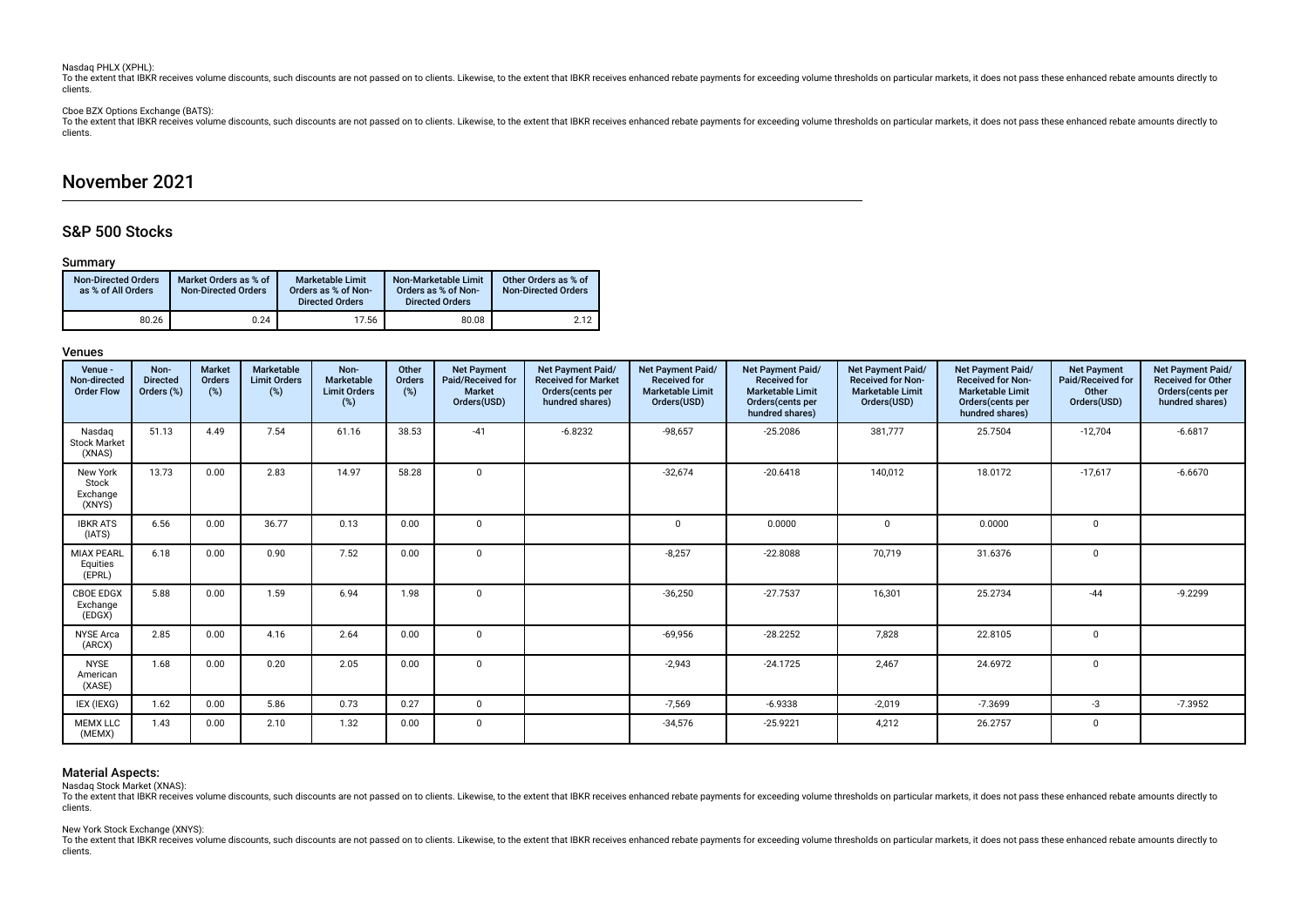### Nasdaq PHLX (XPHL):

To the extent that IBKR receives volume discounts, such discounts are not passed on to clients. Likewise, to the extent that IBKR receives enhanced rebate payments for exceeding volume thresholds on particular markets, it clients.

# Cboe BZX Options Exchange (BATS):

To the extent that IBKR receives volume discounts, such discounts are not passed on to clients. Likewise, to the extent that IBKR receives enhanced rebate payments for exceeding volume thresholds on particular markets, it clients.

# November 2021

# S&P 500 Stocks

# Summary

| <b>Non-Directed Orders</b><br>as % of All Orders | Market Orders as % of<br><b>Non-Directed Orders</b> | <b>Marketable Limit</b><br>Orders as % of Non-<br><b>Directed Orders</b> | Non-Marketable Limit<br>Orders as % of Non-<br><b>Directed Orders</b> | Other Orders as % of<br><b>Non-Directed Orders</b> |
|--------------------------------------------------|-----------------------------------------------------|--------------------------------------------------------------------------|-----------------------------------------------------------------------|----------------------------------------------------|
| 80.26                                            | 0.24                                                | 17.56                                                                    | 80.08                                                                 | 2.12                                               |

# Venues

| Venue -<br>Non-directed<br><b>Order Flow</b> | Non-<br><b>Directed</b><br>Orders (%) | <b>Market</b><br>Orders<br>(%) | Marketable<br><b>Limit Orders</b><br>(%) | Non-<br>Marketable<br><b>Limit Orders</b><br>(%) | Other<br>Orders<br>(%) | <b>Net Payment</b><br>Paid/Received for<br>Market<br>Orders(USD) | Net Payment Paid/<br><b>Received for Market</b><br>Orders(cents per<br>hundred shares) | Net Payment Paid/<br><b>Received for</b><br><b>Marketable Limit</b><br>Orders(USD) | Net Payment Paid/<br><b>Received for</b><br><b>Marketable Limit</b><br>Orders(cents per<br>hundred shares) | Net Payment Paid/<br><b>Received for Non-</b><br><b>Marketable Limit</b><br>Orders(USD) | Net Payment Paid/<br><b>Received for Non-</b><br><b>Marketable Limit</b><br>Orders(cents per<br>hundred shares) | <b>Net Payment</b><br>Paid/Received for<br>Other<br>Orders(USD) | Net Payment Paid/<br><b>Received for Other</b><br>Orders(cents per<br>hundred shares) |
|----------------------------------------------|---------------------------------------|--------------------------------|------------------------------------------|--------------------------------------------------|------------------------|------------------------------------------------------------------|----------------------------------------------------------------------------------------|------------------------------------------------------------------------------------|------------------------------------------------------------------------------------------------------------|-----------------------------------------------------------------------------------------|-----------------------------------------------------------------------------------------------------------------|-----------------------------------------------------------------|---------------------------------------------------------------------------------------|
| Nasdag<br><b>Stock Market</b><br>(XNAS)      | 51.13                                 | 4.49                           | 7.54                                     | 61.16                                            | 38.53                  | $-41$                                                            | $-6.8232$                                                                              | $-98,657$                                                                          | $-25.2086$                                                                                                 | 381,777                                                                                 | 25.7504                                                                                                         | $-12,704$                                                       | $-6.6817$                                                                             |
| New York<br>Stock<br>Exchange<br>(XNYS)      | 13.73                                 | 0.00                           | 2.83                                     | 14.97                                            | 58.28                  | $\mathbf 0$                                                      |                                                                                        | $-32,674$                                                                          | $-20.6418$                                                                                                 | 140,012                                                                                 | 18.0172                                                                                                         | $-17,617$                                                       | $-6.6670$                                                                             |
| <b>IBKR ATS</b><br>(IATS)                    | 6.56                                  | 0.00                           | 36.77                                    | 0.13                                             | 0.00                   | 0                                                                |                                                                                        | $\Omega$                                                                           | 0.0000                                                                                                     | $\Omega$                                                                                | 0.0000                                                                                                          | 0                                                               |                                                                                       |
| <b>MIAX PEARL</b><br>Equities<br>(EPRL)      | 6.18                                  | 0.00                           | 0.90                                     | 7.52                                             | 0.00                   | $\mathbf{0}$                                                     |                                                                                        | $-8,257$                                                                           | $-22.8088$                                                                                                 | 70,719                                                                                  | 31.6376                                                                                                         | 0                                                               |                                                                                       |
| <b>CBOE EDGX</b><br>Exchange<br>(EDGX)       | 5.88                                  | 0.00                           | 1.59                                     | 6.94                                             | 1.98                   | $\mathbf 0$                                                      |                                                                                        | $-36,250$                                                                          | $-27.7537$                                                                                                 | 16,301                                                                                  | 25.2734                                                                                                         | $-44$                                                           | $-9.2299$                                                                             |
| <b>NYSE Arca</b><br>(ARCX)                   | 2.85                                  | 0.00                           | 4.16                                     | 2.64                                             | 0.00                   | $\mathbf 0$                                                      |                                                                                        | $-69,956$                                                                          | $-28.2252$                                                                                                 | 7,828                                                                                   | 22.8105                                                                                                         | 0                                                               |                                                                                       |
| <b>NYSE</b><br>American<br>(XASE)            | 1.68                                  | 0.00                           | 0.20                                     | 2.05                                             | 0.00                   | $\mathbf 0$                                                      |                                                                                        | $-2,943$                                                                           | $-24.1725$                                                                                                 | 2,467                                                                                   | 24.6972                                                                                                         | $\mathbf 0$                                                     |                                                                                       |
| IEX (IEXG)                                   | 1.62                                  | 0.00                           | 5.86                                     | 0.73                                             | 0.27                   | $\mathbf 0$                                                      |                                                                                        | $-7,569$                                                                           | $-6.9338$                                                                                                  | $-2,019$                                                                                | $-7.3699$                                                                                                       | $-3$                                                            | $-7.3952$                                                                             |
| <b>MEMX LLC</b><br>(MEMX)                    | 1.43                                  | 0.00                           | 2.10                                     | 1.32                                             | 0.00                   | $\mathbf 0$                                                      |                                                                                        | $-34,576$                                                                          | $-25.9221$                                                                                                 | 4,212                                                                                   | 26.2757                                                                                                         | 0                                                               |                                                                                       |

## Material Aspects:

Nasdaq Stock Market (XNAS):

To the extent that IBKR receives volume discounts, such discounts are not passed on to clients. Likewise, to the extent that IBKR receives enhanced rebate payments for exceeding volume thresholds on particular markets, it clients.

## New York Stock Exchange (XNYS):

To the extent that IBKR receives yolume discounts, such discounts are not passed on to clients. Likewise, to the extent that IBKR receives enhanced rebate payments for exceeding volume thresholds on particular markets, it clients.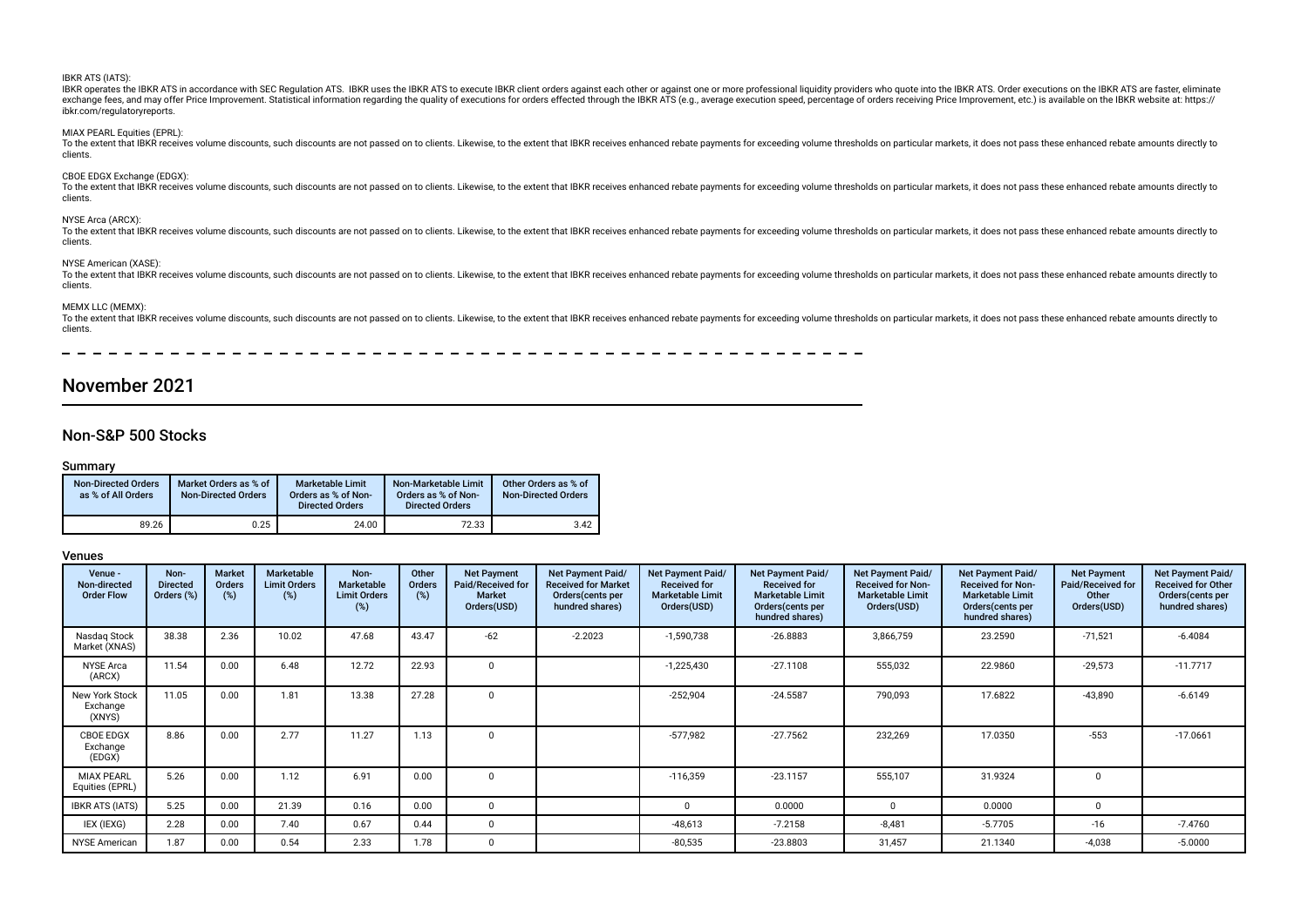| <b>IBKR ATS (IATS):</b><br>IBKR operates the IBKR ATS in accordance with SEC Regulation ATS. IBKR uses the IBKR ATS to execute IBKR client orders against each other or against one or more professional liguidity providers who quote into the IBKR ATS.<br>exchange fees, and may offer Price Improvement. Statistical information regarding the quality of executions for orders effected through the IBKR ATS (e.g., average execution speed, percentage of orders receiving Price Impr<br>ibkr.com/regulatoryreports. |
|----------------------------------------------------------------------------------------------------------------------------------------------------------------------------------------------------------------------------------------------------------------------------------------------------------------------------------------------------------------------------------------------------------------------------------------------------------------------------------------------------------------------------|
| MIAX PEARL Equities (EPRL):<br>To the extent that IBKR receives volume discounts, such discounts are not passed on to clients. Likewise, to the extent that IBKR receives enhanced rebate payments for exceeding volume thresholds on particular markets, it<br>clients.                                                                                                                                                                                                                                                   |
| CBOE EDGX Exchange (EDGX):<br>To the extent that IBKR receives volume discounts, such discounts are not passed on to clients. Likewise, to the extent that IBKR receives enhanced rebate payments for exceeding volume thresholds on particular markets, it<br>clients.                                                                                                                                                                                                                                                    |
| NYSE Arca (ARCX):<br>To the extent that IBKR receives volume discounts, such discounts are not passed on to clients. Likewise, to the extent that IBKR receives enhanced rebate payments for exceeding volume thresholds on particular markets, it<br>clients.                                                                                                                                                                                                                                                             |
| NYSE American (XASE):<br>To the extent that IBKR receives volume discounts, such discounts are not passed on to clients. Likewise, to the extent that IBKR receives enhanced rebate payments for exceeding volume thresholds on particular markets, it<br>clients.                                                                                                                                                                                                                                                         |
| MEMX LLC (MEMX):<br>To the extent that IBKR receives volume discounts, such discounts are not passed on to clients. Likewise, to the extent that IBKR receives enhanced rebate payments for exceeding volume thresholds on particular markets, it<br>clients.                                                                                                                                                                                                                                                              |
|                                                                                                                                                                                                                                                                                                                                                                                                                                                                                                                            |

# November 2021

# Non-S&P 500 Stocks

# Summary

| <b>Non-Directed Orders</b><br>as % of All Orders | Market Orders as % of<br><b>Non-Directed Orders</b> | <b>Marketable Limit</b><br>Orders as % of Non-<br><b>Directed Orders</b> | Non-Marketable Limit<br>Orders as % of Non-<br><b>Directed Orders</b> | Other Orders as % of<br><b>Non-Directed Orders</b> |
|--------------------------------------------------|-----------------------------------------------------|--------------------------------------------------------------------------|-----------------------------------------------------------------------|----------------------------------------------------|
| 89.26                                            | 0.25                                                | 24.00                                                                    | 72.33                                                                 | 3.42                                               |

| Venue -<br>Non-directed<br><b>Order Flow</b> | Non-<br><b>Directed</b><br>Orders (%) | Market<br>Orders<br>$(\%)$ | <b>Marketable</b><br><b>Limit Orders</b><br>$(\%)$ | Non-<br>Marketable<br><b>Limit Orders</b><br>(%) | Other<br>Orders<br>(%) | <b>Net Payment</b><br>Paid/Received for<br><b>Market</b><br>Orders(USD) | Net Payment Paid/<br><b>Received for Market</b><br>Orders (cents per<br>hundred shares) | Net Payment Paid/<br><b>Received for</b><br><b>Marketable Limit</b><br>Orders(USD) | <b>Net Payment Paid/</b><br><b>Received for</b><br><b>Marketable Limit</b><br>Orders(cents per<br>hundred shares) | Net Payment Paid/<br><b>Received for Non-</b><br><b>Marketable Limit</b><br>Orders(USD) | Net Payment Paid/<br><b>Received for Non-</b><br><b>Marketable Limit</b><br>Orders (cents per<br>hundred shares) | <b>Net Payment</b><br>Paid/Received for<br>Other<br>Orders(USD) | Net Payment Paid/<br><b>Received for Other</b><br>Orders (cents per<br>hundred shares) |
|----------------------------------------------|---------------------------------------|----------------------------|----------------------------------------------------|--------------------------------------------------|------------------------|-------------------------------------------------------------------------|-----------------------------------------------------------------------------------------|------------------------------------------------------------------------------------|-------------------------------------------------------------------------------------------------------------------|-----------------------------------------------------------------------------------------|------------------------------------------------------------------------------------------------------------------|-----------------------------------------------------------------|----------------------------------------------------------------------------------------|
| Nasdag Stock<br>Market (XNAS)                | 38.38                                 | 2.36                       | 10.02                                              | 47.68                                            | 43.47                  | $-62$                                                                   | $-2.2023$                                                                               | $-1,590,738$                                                                       | $-26.8883$                                                                                                        | 3,866,759                                                                               | 23.2590                                                                                                          | $-71,521$                                                       | $-6.4084$                                                                              |
| <b>NYSE Arca</b><br>(ARCX)                   | 11.54                                 | 0.00                       | 6.48                                               | 12.72                                            | 22.93                  |                                                                         |                                                                                         | $-1,225,430$                                                                       | $-27.1108$                                                                                                        | 555,032                                                                                 | 22.9860                                                                                                          | $-29,573$                                                       | $-11.7717$                                                                             |
| New York Stock<br>Exchange<br>(XNYS)         | 11.05                                 | 0.00                       | 1.81                                               | 13.38                                            | 27.28                  |                                                                         |                                                                                         | $-252,904$                                                                         | $-24.5587$                                                                                                        | 790,093                                                                                 | 17.6822                                                                                                          | $-43,890$                                                       | $-6.6149$                                                                              |
| CBOE EDGX<br>Exchange<br>(EDGX)              | 8.86                                  | 0.00                       | 2.77                                               | 11.27                                            | 1.13                   |                                                                         |                                                                                         | $-577,982$                                                                         | $-27.7562$                                                                                                        | 232,269                                                                                 | 17.0350                                                                                                          | $-553$                                                          | $-17.0661$                                                                             |
| <b>MIAX PEARL</b><br>Equities (EPRL)         | 5.26                                  | 0.00                       | 1.12                                               | 6.91                                             | 0.00                   |                                                                         |                                                                                         | $-116,359$                                                                         | $-23.1157$                                                                                                        | 555,107                                                                                 | 31.9324                                                                                                          | $\Omega$                                                        |                                                                                        |
| <b>IBKR ATS (IATS)</b>                       | 5.25                                  | 0.00                       | 21.39                                              | 0.16                                             | 0.00                   |                                                                         |                                                                                         | 0                                                                                  | 0.0000                                                                                                            |                                                                                         | 0.0000                                                                                                           | $\Omega$                                                        |                                                                                        |
| IEX (IEXG)                                   | 2.28                                  | 0.00                       | 7.40                                               | 0.67                                             | 0.44                   |                                                                         |                                                                                         | $-48,613$                                                                          | $-7.2158$                                                                                                         | $-8,481$                                                                                | $-5.7705$                                                                                                        | $-16$                                                           | $-7.4760$                                                                              |
| <b>NYSE American</b>                         | 1.87                                  | 0.00                       | 0.54                                               | 2.33                                             | 1.78                   |                                                                         |                                                                                         | $-80,535$                                                                          | $-23.8803$                                                                                                        | 31,457                                                                                  | 21.1340                                                                                                          | $-4,038$                                                        | $-5.0000$                                                                              |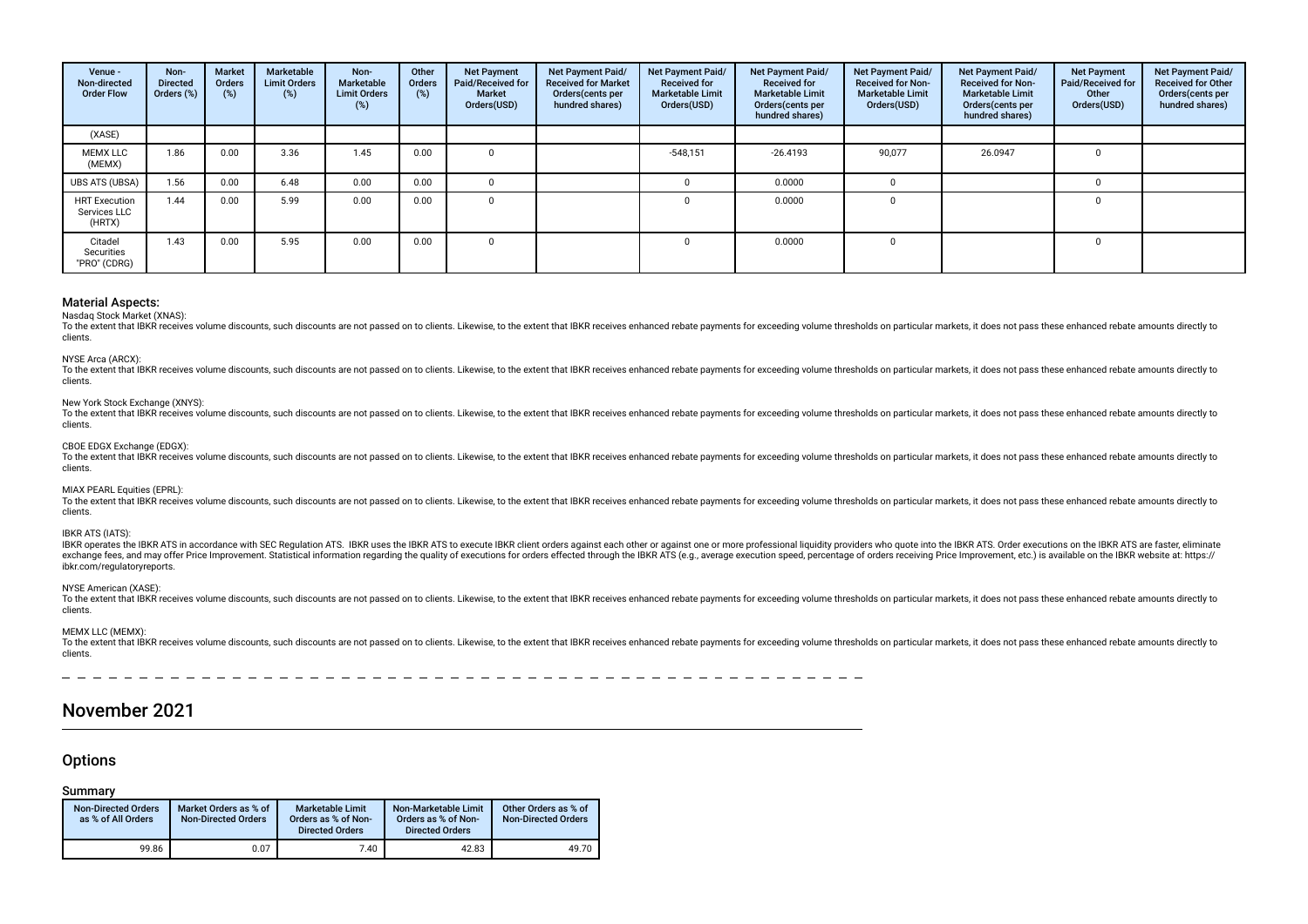| Venue -<br>Non-directed<br><b>Order Flow</b>   | Non-<br><b>Directed</b><br>Orders (%) | Market<br><b>Orders</b><br>(%) | Marketable<br><b>Limit Orders</b><br>$(\%)$ | Non-<br>Marketable<br><b>Limit Orders</b><br>(%) | Other<br>Orders<br>$(\%)$ | <b>Net Payment</b><br>Paid/Received for<br><b>Market</b><br>Orders(USD) | <b>Net Payment Paid/</b><br><b>Received for Market</b><br>Orders (cents per<br>hundred shares) | Net Payment Paid/<br><b>Received for</b><br><b>Marketable Limit</b><br>Orders(USD) | Net Payment Paid/<br><b>Received for</b><br><b>Marketable Limit</b><br>Orders(cents per<br>hundred shares) | Net Payment Paid/<br><b>Received for Non-</b><br><b>Marketable Limit</b><br>Orders(USD) | Net Payment Paid/<br><b>Received for Non-</b><br><b>Marketable Limit</b><br>Orders(cents per<br>hundred shares) | <b>Net Payment</b><br>Paid/Received for<br>Other<br>Orders(USD) | Net Payment Paid/<br><b>Received for Other</b><br>Orders(cents per<br>hundred shares) |
|------------------------------------------------|---------------------------------------|--------------------------------|---------------------------------------------|--------------------------------------------------|---------------------------|-------------------------------------------------------------------------|------------------------------------------------------------------------------------------------|------------------------------------------------------------------------------------|------------------------------------------------------------------------------------------------------------|-----------------------------------------------------------------------------------------|-----------------------------------------------------------------------------------------------------------------|-----------------------------------------------------------------|---------------------------------------------------------------------------------------|
| (XASE)                                         |                                       |                                |                                             |                                                  |                           |                                                                         |                                                                                                |                                                                                    |                                                                                                            |                                                                                         |                                                                                                                 |                                                                 |                                                                                       |
| <b>MEMX LLC</b><br>(MEMX)                      | 1.86                                  | 0.00                           | 3.36                                        | 1.45                                             | 0.00                      |                                                                         |                                                                                                | $-548.151$                                                                         | $-26.4193$                                                                                                 | 90,077                                                                                  | 26.0947                                                                                                         |                                                                 |                                                                                       |
| <b>UBS ATS (UBSA)</b>                          | 1.56                                  | 0.00                           | 6.48                                        | 0.00                                             | 0.00                      |                                                                         |                                                                                                |                                                                                    | 0.0000                                                                                                     |                                                                                         |                                                                                                                 |                                                                 |                                                                                       |
| <b>HRT Execution</b><br>Services LLC<br>(HRTX) | 1.44                                  | 0.00                           | 5.99                                        | 0.00                                             | 0.00                      |                                                                         |                                                                                                | $\Omega$                                                                           | 0.0000                                                                                                     | 0                                                                                       |                                                                                                                 |                                                                 |                                                                                       |
| Citadel<br>Securities<br>"PRO" (CDRG)          | 1.43                                  | 0.00                           | 5.95                                        | 0.00                                             | 0.00                      |                                                                         |                                                                                                |                                                                                    | 0.0000                                                                                                     |                                                                                         |                                                                                                                 |                                                                 |                                                                                       |

Nasdaq Stock Market (XNAS):

To the extent that IBKR receives volume discounts, such discounts are not passed on to clients. Likewise, to the extent that IBKR receives enhanced rebate payments for exceeding volume thresholds on particular markets, it clients.

### NYSE Arca (ARCX):

To the extent that IBKR receives volume discounts, such discounts are not passed on to clients. Likewise, to the extent that IBKR receives enhanced rebate payments for exceeding volume thresholds on particular markets, it clients.

### New York Stock Exchange (XNYS):

To the extent that IBKR receives yolume discounts, such discounts are not passed on to clients. Likewise, to the extent that IBKR receives enhanced rebate payments for exceeding yolume thresholds on particular markets, it clients.

### CBOE EDGX Exchange (EDGX):

To the extent that IBKR receives volume discounts, such discounts are not passed on to clients. Likewise, to the extent that IBKR receives enhanced rebate payments for exceeding volume thresholds on particular markets, it clients.

# MIAX PEARL Equities (EPRL):

To the extent that IBKR receives volume discounts, such discounts are not passed on to clients. Likewise, to the extent that IBKR receives enhanced rebate payments for exceeding volume thresholds on particular markets, it clients.

# IBKR ATS (IATS):

IBKR operates the IBKR ATS in accordance with SEC Regulation ATS. IBKR uses the IBKR ATS to execute IBKR client orders against each other or against one or more professional liguidity providers who quote into the IBKR ATS. exchange fees, and may offer Price Improvement. Statistical information regarding the quality of executions for orders effected through the IBKR ATS (e.g., average execution speed, percentage of orders receiving Price Impr ibkr.com/regulatoryreports.

#### NYSE American (XASE):

To the extent that IBKR receives volume discounts, such discounts are not passed on to clients. Likewise, to the extent that IBKR receives enhanced rebate payments for exceeding volume thresholds on particular markets, it clients.

### MEMX LLC (MEMX):

To the extent that IBKR receives volume discounts, such discounts are not passed on to clients. Likewise, to the extent that IBKR receives enhanced rebate payments for exceeding volume thresholds on particular markets, it clients.

# November 2021

# **Options**

# Summary

| <b>Non-Directed Orders</b><br>as % of All Orders | Market Orders as % of<br><b>Non-Directed Orders</b> | <b>Marketable Limit</b><br>Orders as % of Non-<br><b>Directed Orders</b> | Non-Marketable Limit<br>Orders as % of Non-<br><b>Directed Orders</b> | Other Orders as % of<br><b>Non-Directed Orders</b> |
|--------------------------------------------------|-----------------------------------------------------|--------------------------------------------------------------------------|-----------------------------------------------------------------------|----------------------------------------------------|
| 99.86                                            | 0.07                                                | 7.40                                                                     | 42.83                                                                 | 49.70                                              |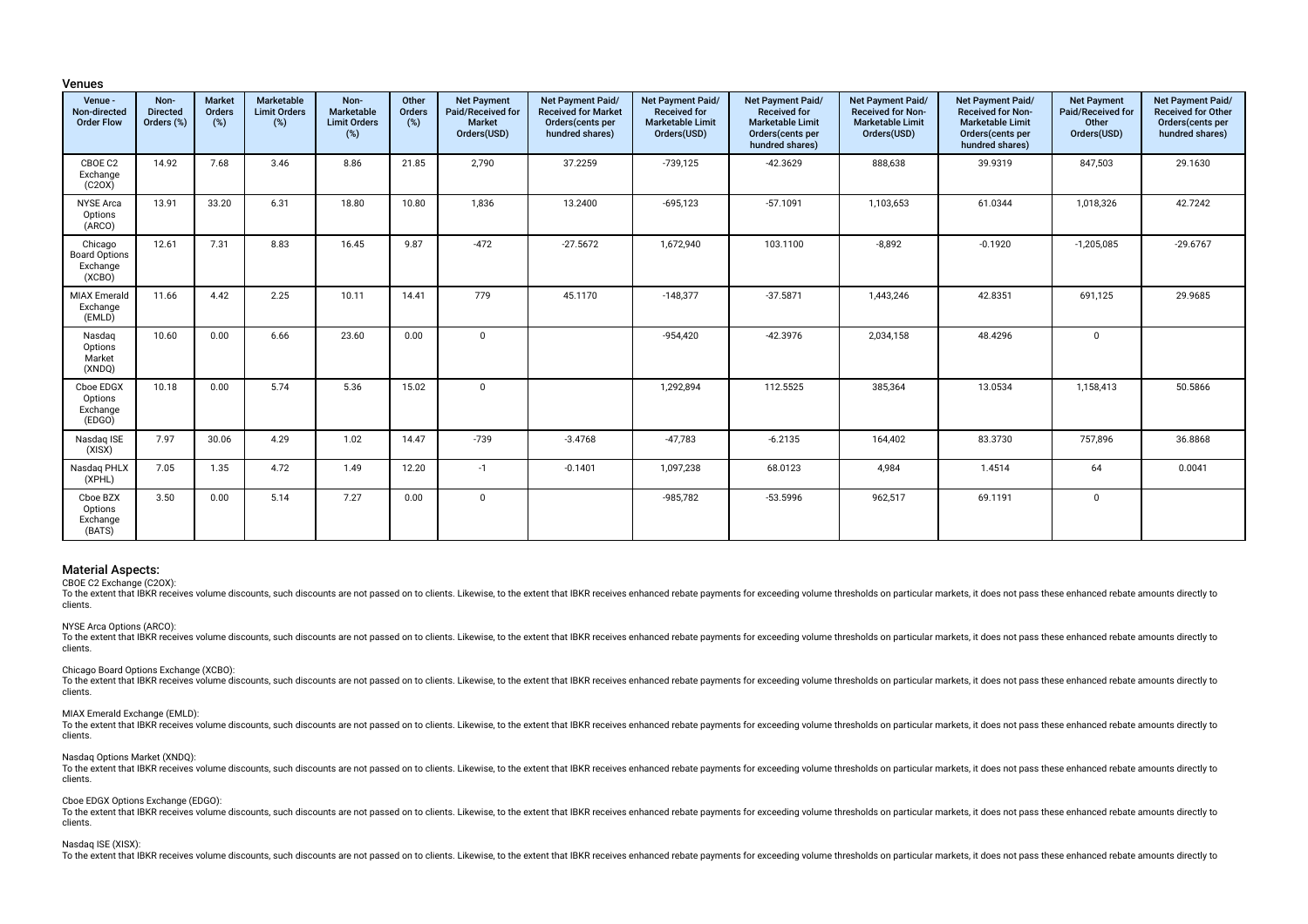### Venues

| Venue -<br>Non-directed<br><b>Order Flow</b>          | Non-<br><b>Directed</b><br>Orders (%) | <b>Market</b><br>Orders<br>(%) | Marketable<br><b>Limit Orders</b><br>(%) | Non-<br>Marketable<br><b>Limit Orders</b><br>$(\%)$ | Other<br>Orders<br>(%) | <b>Net Payment</b><br>Paid/Received for<br><b>Market</b><br>Orders(USD) | Net Payment Paid/<br><b>Received for Market</b><br>Orders(cents per<br>hundred shares) | Net Payment Paid/<br><b>Received for</b><br><b>Marketable Limit</b><br>Orders(USD) | Net Payment Paid/<br><b>Received for</b><br><b>Marketable Limit</b><br>Orders(cents per<br>hundred shares) | Net Payment Paid/<br><b>Received for Non-</b><br><b>Marketable Limit</b><br>Orders(USD) | Net Payment Paid/<br><b>Received for Non-</b><br><b>Marketable Limit</b><br>Orders(cents per<br>hundred shares) | <b>Net Payment</b><br>Paid/Received for<br>Other<br>Orders(USD) | Net Payment Paid/<br>Received for Other<br>Orders(cents per<br>hundred shares) |
|-------------------------------------------------------|---------------------------------------|--------------------------------|------------------------------------------|-----------------------------------------------------|------------------------|-------------------------------------------------------------------------|----------------------------------------------------------------------------------------|------------------------------------------------------------------------------------|------------------------------------------------------------------------------------------------------------|-----------------------------------------------------------------------------------------|-----------------------------------------------------------------------------------------------------------------|-----------------------------------------------------------------|--------------------------------------------------------------------------------|
| CBOE C2<br>Exchange<br>(C20X)                         | 14.92                                 | 7.68                           | 3.46                                     | 8.86                                                | 21.85                  | 2,790                                                                   | 37.2259                                                                                | -739,125                                                                           | $-42.3629$                                                                                                 | 888,638                                                                                 | 39.9319                                                                                                         | 847,503                                                         | 29.1630                                                                        |
| <b>NYSE Arca</b><br>Options<br>(ARCO)                 | 13.91                                 | 33.20                          | 6.31                                     | 18.80                                               | 10.80                  | 1,836                                                                   | 13.2400                                                                                | $-695,123$                                                                         | $-57.1091$                                                                                                 | 1,103,653                                                                               | 61.0344                                                                                                         | 1,018,326                                                       | 42.7242                                                                        |
| Chicago<br><b>Board Options</b><br>Exchange<br>(XCBO) | 12.61                                 | 7.31                           | 8.83                                     | 16.45                                               | 9.87                   | $-472$                                                                  | $-27.5672$                                                                             | 1,672,940                                                                          | 103.1100                                                                                                   | $-8,892$                                                                                | $-0.1920$                                                                                                       | $-1,205,085$                                                    | $-29.6767$                                                                     |
| <b>MIAX Emerald</b><br>Exchange<br>(EMLD)             | 11.66                                 | 4.42                           | 2.25                                     | 10.11                                               | 14.41                  | 779                                                                     | 45.1170                                                                                | $-148,377$                                                                         | $-37.5871$                                                                                                 | 1,443,246                                                                               | 42.8351                                                                                                         | 691,125                                                         | 29.9685                                                                        |
| Nasdaq<br>Options<br>Market<br>(XNDQ)                 | 10.60                                 | 0.00                           | 6.66                                     | 23.60                                               | 0.00                   | $\mathbf 0$                                                             |                                                                                        | $-954,420$                                                                         | $-42.3976$                                                                                                 | 2,034,158                                                                               | 48.4296                                                                                                         | $\mathbf 0$                                                     |                                                                                |
| Cboe EDGX<br>Options<br>Exchange<br>(EDGO)            | 10.18                                 | 0.00                           | 5.74                                     | 5.36                                                | 15.02                  | $\mathbf 0$                                                             |                                                                                        | 1,292,894                                                                          | 112.5525                                                                                                   | 385,364                                                                                 | 13.0534                                                                                                         | 1,158,413                                                       | 50.5866                                                                        |
| Nasdaq ISE<br>(XISX)                                  | 7.97                                  | 30.06                          | 4.29                                     | 1.02                                                | 14.47                  | $-739$                                                                  | $-3.4768$                                                                              | $-47,783$                                                                          | $-6.2135$                                                                                                  | 164,402                                                                                 | 83.3730                                                                                                         | 757,896                                                         | 36.8868                                                                        |
| Nasdag PHLX<br>(XPHL)                                 | 7.05                                  | 1.35                           | 4.72                                     | 1.49                                                | 12.20                  | $-1$                                                                    | $-0.1401$                                                                              | 1,097,238                                                                          | 68.0123                                                                                                    | 4,984                                                                                   | 1.4514                                                                                                          | 64                                                              | 0.0041                                                                         |
| Cboe BZX<br>Options<br>Exchange<br>(BATS)             | 3.50                                  | 0.00                           | 5.14                                     | 7.27                                                | 0.00                   | $\mathbf 0$                                                             |                                                                                        | -985,782                                                                           | $-53.5996$                                                                                                 | 962,517                                                                                 | 69.1191                                                                                                         | $\mathbf{0}$                                                    |                                                                                |

# Material Aspects:

CBOE C2 Exchange (C2OX):

To the extent that IBKR receives volume discounts, such discounts are not passed on to clients. Likewise, to the extent that IBKR receives enhanced rebate payments for exceeding volume thresholds on particular markets, it clients.

# NYSE Arca Options (ARCO):

To the extent that IBKR receives volume discounts, such discounts are not passed on to clients. Likewise, to the extent that IBKR receives enhanced rebate payments for exceeding volume thresholds on particular markets, it clients.

#### Chicago Board Options Exchange (XCBO):

To the extent that IBKR receives volume discounts, such discounts are not passed on to clients. Likewise, to the extent that IBKR receives enhanced rebate payments for exceeding volume thresholds on particular markets, it clients.

### MIAX Emerald Exchange (EMLD):

To the extent that IBKR receives volume discounts, such discounts are not passed on to clients. Likewise, to the extent that IBKR receives enhanced rebate payments for exceeding volume thresholds on particular markets, it clients.

### Nasdaq Options Market (XNDQ):

To the extent that IBKR receives yolume discounts, such discounts are not passed on to clients. Likewise, to the extent that IBKR receives enhanced rebate payments for exceeding yolume thresholds on particular markets, it clients.

## Cboe EDGX Options Exchange (EDGO):

To the extent that IBKR receives volume discounts, such discounts are not passed on to clients. Likewise, to the extent that IBKR receives enhanced rebate payments for exceeding volume thresholds on particular markets, it clients.

# Nasdaq ISE (XISX):

To the extent that IBKR receives volume discounts, such discounts are not passed on to clients. Likewise, to the extent that IBKR receives enhanced rebate payments for exceeding volume thresholds on particular markets, it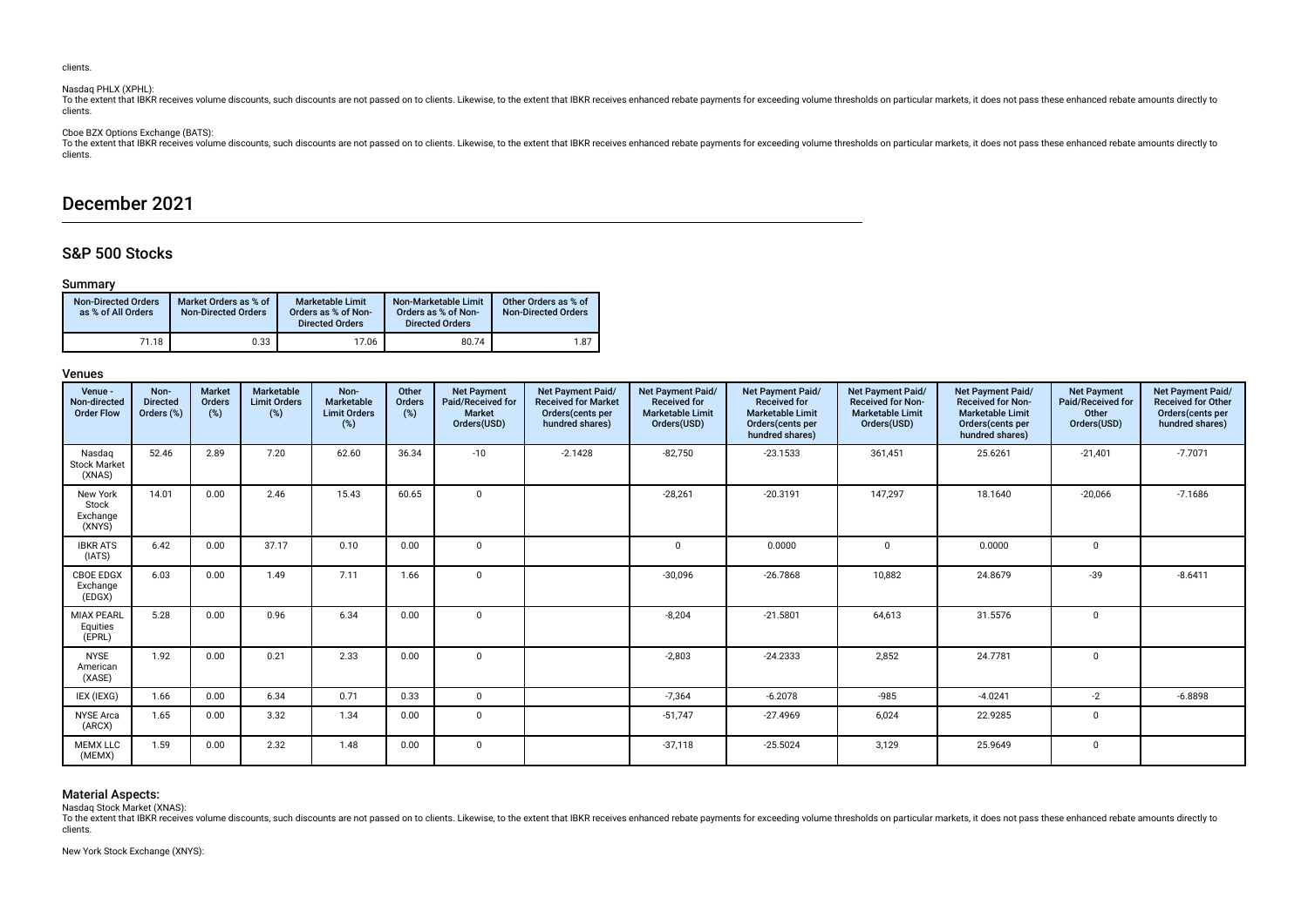clients.

# Nasdaq PHLX (XPHL):

To the extent that IBKR receives volume discounts, such discounts are not passed on to clients. Likewise, to the extent that IBKR receives enhanced rebate payments for exceeding volume thresholds on particular markets, it clients.

Cboe BZX Options Exchange (BATS):

To the extent that lBKR receives volume discounts, such discounts are not passed on to clients. Likewise, to the extent that IBKR receives enhanced rebate payments for exceeding volume thresholds on particular markets, it clients.

# December 2021

# S&P 500 Stocks

# Summary

| <b>Non-Directed Orders</b><br>as % of All Orders | Market Orders as % of<br><b>Non-Directed Orders</b> | <b>Marketable Limit</b><br>Orders as % of Non-<br><b>Directed Orders</b> | Non-Marketable Limit<br>Orders as % of Non-<br><b>Directed Orders</b> | Other Orders as % of<br><b>Non-Directed Orders</b> |
|--------------------------------------------------|-----------------------------------------------------|--------------------------------------------------------------------------|-----------------------------------------------------------------------|----------------------------------------------------|
| 71.18                                            | 0.33                                                | 17.06                                                                    | 80.74                                                                 | 1.87                                               |

# Venues

| Venue -<br>Non-directed<br><b>Order Flow</b> | Non-<br><b>Directed</b><br>Orders (%) | <b>Market</b><br>Orders<br>(%) | Marketable<br><b>Limit Orders</b><br>(%) | Non-<br>Marketable<br><b>Limit Orders</b><br>(%) | Other<br>Orders<br>(%) | <b>Net Payment</b><br>Paid/Received for<br><b>Market</b><br>Orders(USD) | Net Payment Paid/<br><b>Received for Market</b><br>Orders(cents per<br>hundred shares) | Net Payment Paid/<br><b>Received for</b><br><b>Marketable Limit</b><br>Orders(USD) | Net Payment Paid/<br><b>Received for</b><br><b>Marketable Limit</b><br>Orders(cents per<br>hundred shares) | Net Payment Paid/<br><b>Received for Non-</b><br><b>Marketable Limit</b><br>Orders(USD) | Net Payment Paid/<br><b>Received for Non-</b><br><b>Marketable Limit</b><br>Orders(cents per<br>hundred shares) | <b>Net Payment</b><br>Paid/Received for<br>Other<br>Orders(USD) | Net Payment Paid/<br><b>Received for Other</b><br>Orders(cents per<br>hundred shares) |
|----------------------------------------------|---------------------------------------|--------------------------------|------------------------------------------|--------------------------------------------------|------------------------|-------------------------------------------------------------------------|----------------------------------------------------------------------------------------|------------------------------------------------------------------------------------|------------------------------------------------------------------------------------------------------------|-----------------------------------------------------------------------------------------|-----------------------------------------------------------------------------------------------------------------|-----------------------------------------------------------------|---------------------------------------------------------------------------------------|
| Nasdag<br><b>Stock Market</b><br>(XNAS)      | 52.46                                 | 2.89                           | 7.20                                     | 62.60                                            | 36.34                  | $-10$                                                                   | $-2.1428$                                                                              | $-82,750$                                                                          | $-23.1533$                                                                                                 | 361,451                                                                                 | 25.6261                                                                                                         | $-21,401$                                                       | $-7.7071$                                                                             |
| New York<br>Stock<br>Exchange<br>(XNYS)      | 14.01                                 | 0.00                           | 2.46                                     | 15.43                                            | 60.65                  | $\mathbf 0$                                                             |                                                                                        | $-28,261$                                                                          | $-20.3191$                                                                                                 | 147.297                                                                                 | 18.1640                                                                                                         | $-20,066$                                                       | $-7.1686$                                                                             |
| <b>IBKR ATS</b><br>(IATS)                    | 6.42                                  | 0.00                           | 37.17                                    | 0.10                                             | 0.00                   | $\Omega$                                                                |                                                                                        | $\Omega$                                                                           | 0.0000                                                                                                     | $\Omega$                                                                                | 0.0000                                                                                                          | $\Omega$                                                        |                                                                                       |
| <b>CBOE EDGX</b><br>Exchange<br>(EDGX)       | 6.03                                  | 0.00                           | 1.49                                     | 7.11                                             | 1.66                   | $\mathbf 0$                                                             |                                                                                        | $-30,096$                                                                          | $-26.7868$                                                                                                 | 10,882                                                                                  | 24.8679                                                                                                         | $-39$                                                           | $-8.6411$                                                                             |
| <b>MIAX PEARL</b><br>Equities<br>(EPRL)      | 5.28                                  | 0.00                           | 0.96                                     | 6.34                                             | 0.00                   | $\mathbf 0$                                                             |                                                                                        | $-8,204$                                                                           | $-21.5801$                                                                                                 | 64,613                                                                                  | 31.5576                                                                                                         | $\mathbf 0$                                                     |                                                                                       |
| <b>NYSE</b><br>American<br>(XASE)            | 1.92                                  | 0.00                           | 0.21                                     | 2.33                                             | 0.00                   | 0                                                                       |                                                                                        | $-2.803$                                                                           | $-24.2333$                                                                                                 | 2.852                                                                                   | 24.7781                                                                                                         | $\mathbf 0$                                                     |                                                                                       |
| IEX (IEXG)                                   | 1.66                                  | 0.00                           | 6.34                                     | 0.71                                             | 0.33                   | $\mathbf 0$                                                             |                                                                                        | $-7,364$                                                                           | $-6.2078$                                                                                                  | $-985$                                                                                  | $-4.0241$                                                                                                       | $-2$                                                            | $-6.8898$                                                                             |
| <b>NYSE Arca</b><br>(ARCX)                   | 1.65                                  | 0.00                           | 3.32                                     | 1.34                                             | 0.00                   | $\mathbf 0$                                                             |                                                                                        | $-51,747$                                                                          | $-27.4969$                                                                                                 | 6,024                                                                                   | 22.9285                                                                                                         | $\mathbf 0$                                                     |                                                                                       |
| <b>MEMX LLC</b><br>(MEMX)                    | 1.59                                  | 0.00                           | 2.32                                     | 1.48                                             | 0.00                   | 0                                                                       |                                                                                        | $-37,118$                                                                          | $-25.5024$                                                                                                 | 3,129                                                                                   | 25.9649                                                                                                         | 0                                                               |                                                                                       |

# Material Aspects:

Nasdaq Stock Market (XNAS):

To the extent that IBKR receives volume discounts, such discounts are not passed on to clients. Likewise, to the extent that IBKR receives enhanced rebate payments for exceeding volume thresholds on particular markets, it clients.

New York Stock Exchange (XNYS):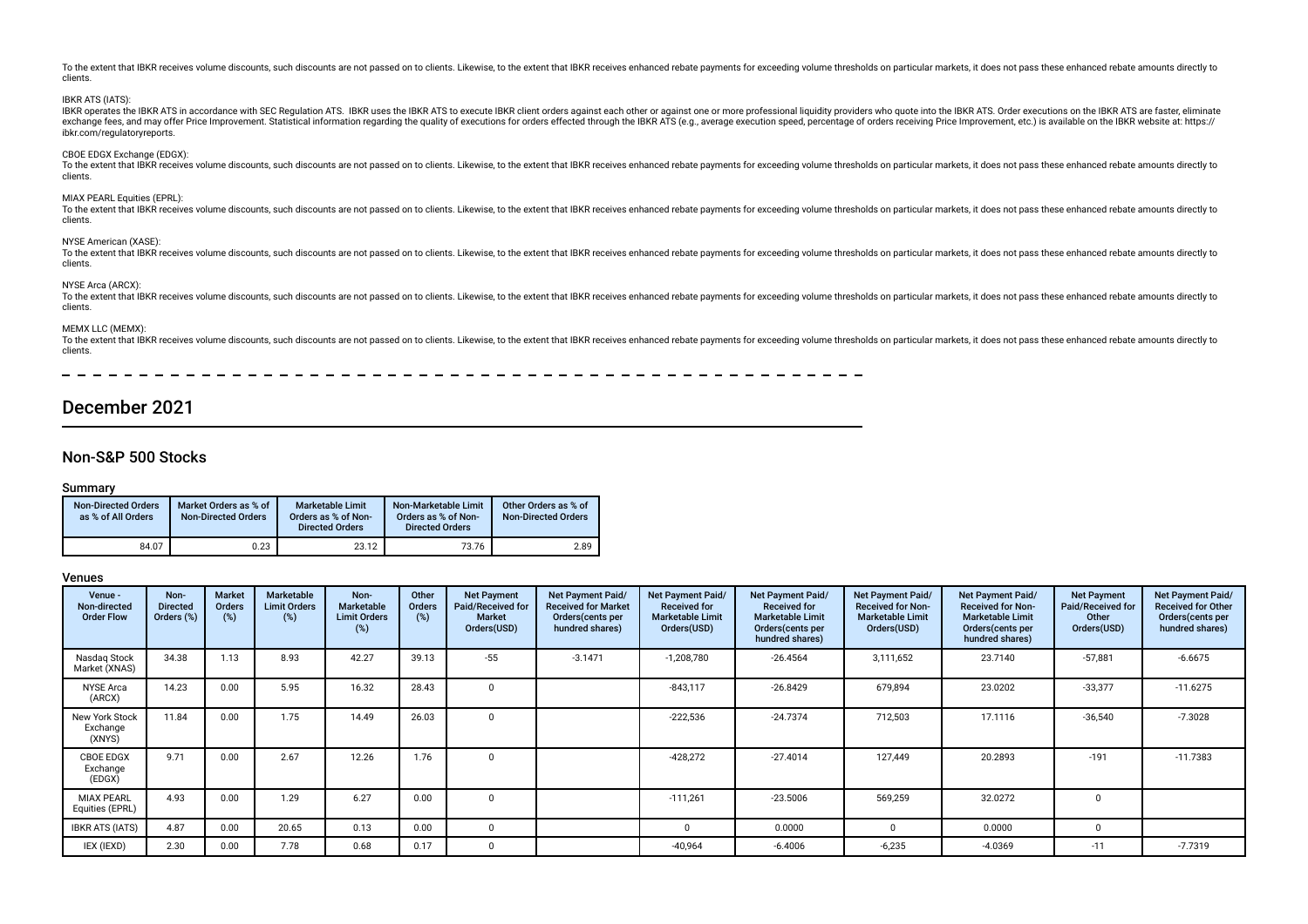To the extent that IBKR receives volume discounts, such discounts are not passed on to clients. Likewise, to the extent that IBKR receives enhanced rebate payments for exceeding volume thresholds on particular markets, it clients. IBKR ATS (IATS): IBKR operates the IBKR ATS in accordance with SEC Regulation ATS. IBKR uses the IBKR ATS to execute IBKR client orders against each other or against one or more professional liquidity providers who quote into the IBKR ATS. exchange fees, and may offer Price Improvement. Statistical information regarding the quality of executions for orders effected through the IBKR ATS (e.g., average execution speed, percentage of orders receiving Price Impr ibkr.com/regulatoryreports. CBOE EDGX Exchange (EDGX): To the extent that IBKR receives volume discounts, such discounts are not passed on to clients. Likewise, to the extent that IBKR receives enhanced rebate payments for exceeding volume thresholds on particular markets, it clients. MIAX PEARL Equities (EPRL): To the extent that IBKR receives volume discounts, such discounts are not passed on to clients. Likewise, to the extent that IBKR receives enhanced rebate payments for exceeding volume thresholds on particular markets, it clients. NYSE American (XASE): To the extent that IBKR receives volume discounts, such discounts are not passed on to clients. Likewise, to the extent that IBKR receives ephanced rebate payments for exceeding volume thresholds on particular markets, it clients. NYSE Arca (ARCX):

To the extent that IBKR receives volume discounts, such discounts are not passed on to clients. Likewise, to the extent that IBKR receives enhanced rebate payments for exceeding volume thresholds on particular markets, it clients.

#### MEMX LLC (MEMX):

To the extent that JBKR receives volume discounts, such discounts are not passed on to clients. Likewise, to the extent that IBKR receives enhanced rebate payments for exceeding volume thresholds on particular markets, it clients.

# December 2021

# Non-S&P 500 Stocks

### Summary

| <b>Non-Directed Orders</b><br>as % of All Orders | Market Orders as % of<br><b>Non-Directed Orders</b> | <b>Marketable Limit</b><br>Orders as % of Non-<br><b>Directed Orders</b> | Non-Marketable Limit<br>Orders as % of Non-<br><b>Directed Orders</b> | Other Orders as % of<br><b>Non-Directed Orders</b> |
|--------------------------------------------------|-----------------------------------------------------|--------------------------------------------------------------------------|-----------------------------------------------------------------------|----------------------------------------------------|
| 84.07                                            | 0.23                                                | 23.12                                                                    | 73.76                                                                 | 2.89                                               |

| Venue -<br>Non-directed<br><b>Order Flow</b> | Non-<br><b>Directed</b><br>Orders (%) | Market<br>Orders<br>(%) | <b>Marketable</b><br><b>Limit Orders</b><br>(%) | Non-<br><b>Marketable</b><br><b>Limit Orders</b><br>(%) | Other<br>Orders<br>(%) | <b>Net Payment</b><br>Paid/Received for<br><b>Market</b><br>Orders(USD) | Net Payment Paid/<br><b>Received for Market</b><br>Orders (cents per<br>hundred shares) | Net Payment Paid/<br><b>Received for</b><br><b>Marketable Limit</b><br>Orders(USD) | Net Payment Paid/<br><b>Received for</b><br><b>Marketable Limit</b><br>Orders(cents per<br>hundred shares) | Net Payment Paid/<br><b>Received for Non-</b><br><b>Marketable Limit</b><br>Orders(USD) | Net Payment Paid/<br><b>Received for Non-</b><br><b>Marketable Limit</b><br>Orders (cents per<br>hundred shares) | <b>Net Payment</b><br>Paid/Received for<br>Other<br>Orders(USD) | Net Payment Paid/<br><b>Received for Other</b><br>Orders (cents per<br>hundred shares) |
|----------------------------------------------|---------------------------------------|-------------------------|-------------------------------------------------|---------------------------------------------------------|------------------------|-------------------------------------------------------------------------|-----------------------------------------------------------------------------------------|------------------------------------------------------------------------------------|------------------------------------------------------------------------------------------------------------|-----------------------------------------------------------------------------------------|------------------------------------------------------------------------------------------------------------------|-----------------------------------------------------------------|----------------------------------------------------------------------------------------|
| Nasdag Stock<br>Market (XNAS)                | 34.38                                 | 1.13                    | 8.93                                            | 42.27                                                   | 39.13                  | $-55$                                                                   | $-3.1471$                                                                               | $-1,208,780$                                                                       | $-26.4564$                                                                                                 | 3,111,652                                                                               | 23.7140                                                                                                          | $-57,881$                                                       | $-6.6675$                                                                              |
| <b>NYSE Arca</b><br>(ARCX)                   | 14.23                                 | 0.00                    | 5.95                                            | 16.32                                                   | 28.43                  | $\Omega$                                                                |                                                                                         | $-843,117$                                                                         | $-26.8429$                                                                                                 | 679,894                                                                                 | 23.0202                                                                                                          | $-33,377$                                                       | $-11.6275$                                                                             |
| New York Stock<br>Exchange<br>(XNYS)         | 11.84                                 | 0.00                    | 1.75                                            | 14.49                                                   | 26.03                  |                                                                         |                                                                                         | $-222,536$                                                                         | $-24.7374$                                                                                                 | 712,503                                                                                 | 17.1116                                                                                                          | $-36,540$                                                       | $-7.3028$                                                                              |
| CBOE EDGX<br>Exchange<br>(EDGX)              | 9.71                                  | 0.00                    | 2.67                                            | 12.26                                                   | 1.76                   |                                                                         |                                                                                         | $-428,272$                                                                         | $-27.4014$                                                                                                 | 127,449                                                                                 | 20.2893                                                                                                          | $-191$                                                          | $-11.7383$                                                                             |
| <b>MIAX PEARL</b><br>Equities (EPRL)         | 4.93                                  | 0.00                    | 1.29                                            | 6.27                                                    | 0.00                   |                                                                         |                                                                                         | $-111,261$                                                                         | $-23.5006$                                                                                                 | 569,259                                                                                 | 32.0272                                                                                                          |                                                                 |                                                                                        |
| <b>IBKR ATS (IATS)</b>                       | 4.87                                  | 0.00                    | 20.65                                           | 0.13                                                    | 0.00                   |                                                                         |                                                                                         | 0                                                                                  | 0.0000                                                                                                     | 0                                                                                       | 0.0000                                                                                                           | 0                                                               |                                                                                        |
| IEX (IEXD)                                   | 2.30                                  | 0.00                    | 7.78                                            | 0.68                                                    | 0.17                   |                                                                         |                                                                                         | $-40,964$                                                                          | $-6.4006$                                                                                                  | $-6,235$                                                                                | $-4.0369$                                                                                                        | $-11$                                                           | $-7.7319$                                                                              |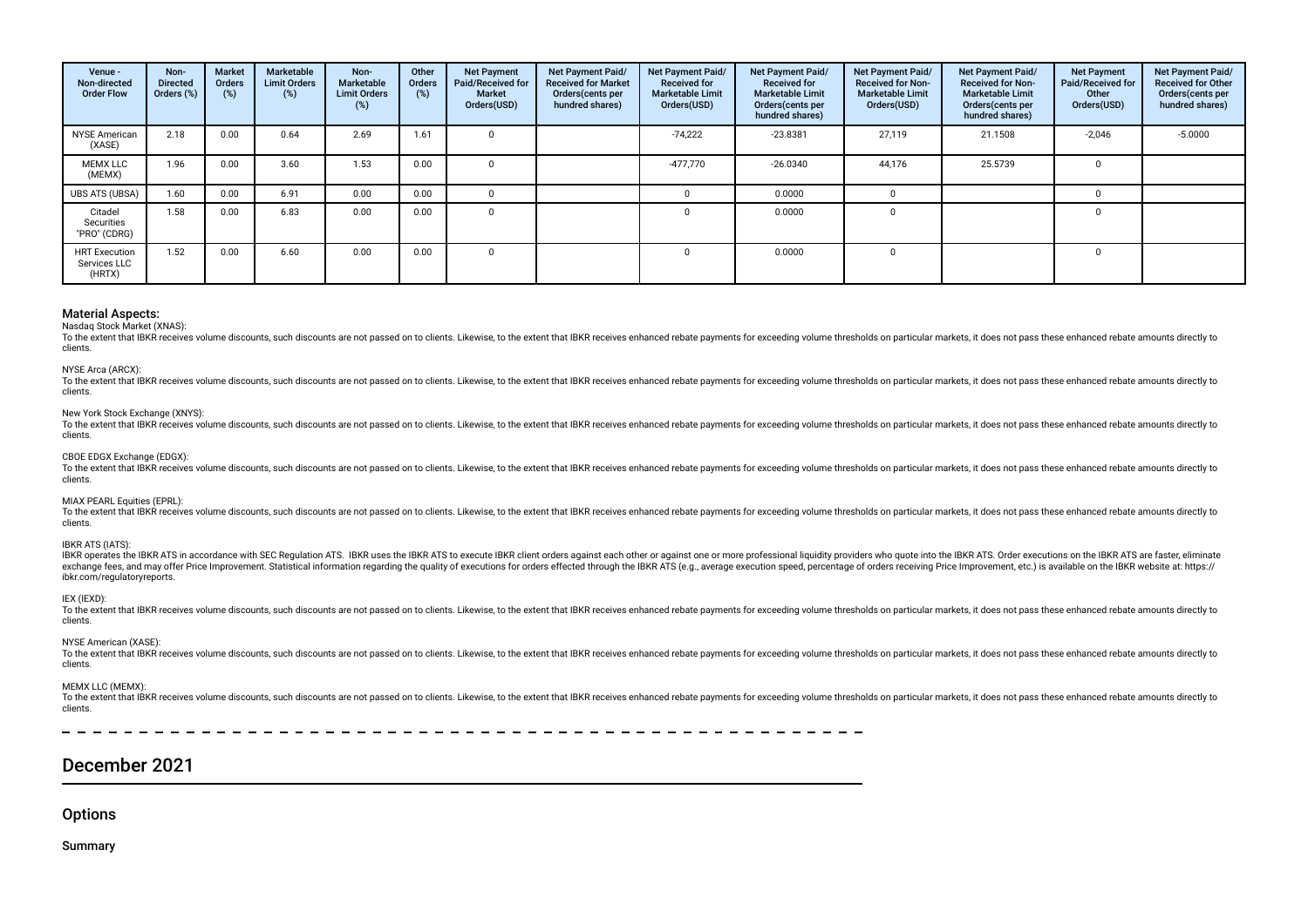| Venue -<br>Non-directed<br><b>Order Flow</b>   | Non-<br><b>Directed</b><br>Orders (%) | Market<br><b>Orders</b><br>(%) | Marketable<br><b>Limit Orders</b><br>(%) | Non-<br><b>Marketable</b><br><b>Limit Orders</b><br>(%) | Other<br><b>Orders</b><br>(%) | <b>Net Payment</b><br>Paid/Received for<br><b>Market</b><br>Orders(USD) | Net Payment Paid/<br><b>Received for Market</b><br>Orders (cents per<br>hundred shares) | Net Payment Paid/<br><b>Received for</b><br><b>Marketable Limit</b><br>Orders(USD) | Net Payment Paid/<br><b>Received for</b><br><b>Marketable Limit</b><br>Orders (cents per<br>hundred shares) | Net Payment Paid/<br><b>Received for Non-</b><br><b>Marketable Limit</b><br>Orders(USD) | Net Payment Paid/<br><b>Received for Non-</b><br><b>Marketable Limit</b><br>Orders (cents per<br>hundred shares) | <b>Net Payment</b><br>Paid/Received for<br>Other<br>Orders(USD) | Net Payment Paid/<br><b>Received for Other</b><br>Orders(cents per<br>hundred shares) |
|------------------------------------------------|---------------------------------------|--------------------------------|------------------------------------------|---------------------------------------------------------|-------------------------------|-------------------------------------------------------------------------|-----------------------------------------------------------------------------------------|------------------------------------------------------------------------------------|-------------------------------------------------------------------------------------------------------------|-----------------------------------------------------------------------------------------|------------------------------------------------------------------------------------------------------------------|-----------------------------------------------------------------|---------------------------------------------------------------------------------------|
| <b>NYSE American</b><br>(XASE)                 | 2.18                                  | 0.00                           | 0.64                                     | 2.69                                                    | 1.61                          |                                                                         |                                                                                         | $-74,222$                                                                          | $-23.8381$                                                                                                  | 27,119                                                                                  | 21.1508                                                                                                          | $-2,046$                                                        | $-5.0000$                                                                             |
| <b>MEMX LLC</b><br>(MEMX)                      | 1.96                                  | 0.00                           | 3.60                                     | 1.53                                                    | 0.00                          |                                                                         |                                                                                         | $-477,770$                                                                         | $-26.0340$                                                                                                  | 44,176                                                                                  | 25.5739                                                                                                          |                                                                 |                                                                                       |
| <b>UBS ATS (UBSA)</b>                          | 1.60                                  | 0.00                           | 6.91                                     | 0.00                                                    | 0.00                          |                                                                         |                                                                                         |                                                                                    | 0.0000                                                                                                      |                                                                                         |                                                                                                                  |                                                                 |                                                                                       |
| Citadel<br>Securities<br>"PRO" (CDRG)          | 1.58                                  | 0.00                           | 6.83                                     | 0.00                                                    | 0.00                          |                                                                         |                                                                                         |                                                                                    | 0.0000                                                                                                      |                                                                                         |                                                                                                                  |                                                                 |                                                                                       |
| <b>HRT</b> Execution<br>Services LLC<br>(HRTX) | 1.52                                  | 0.00                           | 6.60                                     | 0.00                                                    | 0.00                          |                                                                         |                                                                                         |                                                                                    | 0.0000                                                                                                      |                                                                                         |                                                                                                                  |                                                                 |                                                                                       |

# Nasdaq Stock Market (XNAS):

To the extent that IBKR receives volume discounts, such discounts are not passed on to clients. Likewise, to the extent that IBKR receives enhanced rebate payments for exceeding volume thresholds on particular markets, it clients.

#### NYSE Arca (ARCX):

To the extent that IBKR receives volume discounts, such discounts are not passed on to clients. Likewise, to the extent that IBKR receives enhanced rebate payments for exceeding volume thresholds on particular markets, it clients.

### New York Stock Exchange (XNYS):

To the extent that IBKR receives volume discounts, such discounts are not passed on to clients. Likewise, to the extent that IBKR receives enhanced rebate payments for exceeding volume thresholds on particular markets, it clients.

### CBOE EDGX Exchange (EDGX):

To the extent that IBKR receives volume discounts, such discounts are not passed on to clients. Likewise, to the extent that IBKR receives enhanced rebate payments for exceeding volume thresholds on particular markets, it clients.

### MIAX PEARL Equities (EPRL):

To the extent that IBKR receives volume discounts, such discounts are not passed on to clients. Likewise, to the extent that IBKR receives ephanced rebate payments for exceeding volume thresholds on particular markets, it clients.

### IBKR ATS (IATS):

IBKR operates the IBKR ATS in accordance with SEC Regulation ATS. IBKR uses the IBKR ATS to execute IBKR client orders against each other or against one or more professional liguidity providers who guote into the IBKR ATS. exchange fees, and may offer Price Improvement, Statistical information regarding the quality of executions for orders effected through the IBKR ATS (e.g., average execution speed, percentage of orders receiving Price Impr ibkr.com/regulatoryreports.

#### IEX (IEXD):

To the extent that IBKR receives volume discounts, such discounts are not passed on to clients. Likewise, to the extent that IBKR receives enhanced rebate payments for exceeding volume thresholds on particular markets, it clients.

### NYSE American (XASE):

To the extent that IBKR receives volume discounts, such discounts are not passed on to clients. Likewise, to the extent that IBKR receives enhanced rebate payments for exceeding volume thresholds on particular markets, it clients.

### MEMX LLC (MEMX):

To the extent that IBKR receives volume discounts, such discounts are not passed on to clients. Likewise, to the extent that IBKR receives enhanced rebate payments for exceeding volume thresholds on particular markets, it clients.

# December 2021

# **Options**

Summary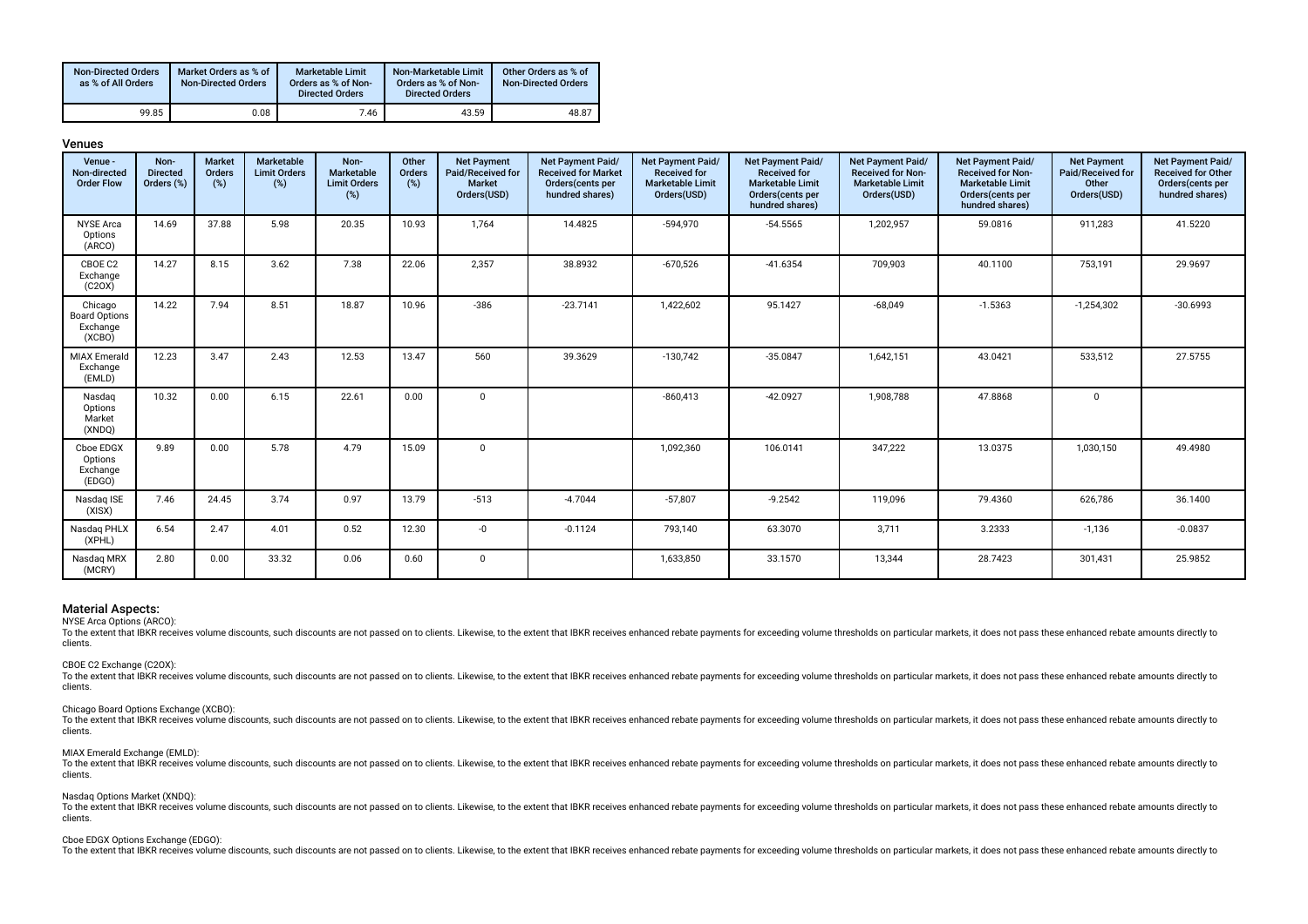| <b>Non-Directed Orders</b><br>as % of All Orders | Market Orders as % of<br><b>Non-Directed Orders</b> | Marketable Limit<br>Orders as % of Non-<br><b>Directed Orders</b> | Non-Marketable Limit<br>Orders as % of Non-<br><b>Directed Orders</b> | Other Orders as % of<br><b>Non-Directed Orders</b> |
|--------------------------------------------------|-----------------------------------------------------|-------------------------------------------------------------------|-----------------------------------------------------------------------|----------------------------------------------------|
| 99.85                                            | 0.08                                                | 7.46                                                              | 43.59                                                                 | 48.87                                              |

| ш<br>٦ |  |
|--------|--|
|--------|--|

| Venue -<br>Non-directed<br><b>Order Flow</b>          | Non-<br><b>Directed</b><br>Orders (%) | <b>Market</b><br>Orders<br>$(\%)$ | Marketable<br><b>Limit Orders</b><br>(%) | Non-<br>Marketable<br><b>Limit Orders</b><br>$(\%)$ | Other<br>Orders<br>$(\%)$ | <b>Net Payment</b><br>Paid/Received for<br><b>Market</b><br>Orders(USD) | Net Payment Paid/<br><b>Received for Market</b><br>Orders (cents per<br>hundred shares) | Net Payment Paid/<br><b>Received for</b><br><b>Marketable Limit</b><br>Orders(USD) | Net Payment Paid/<br><b>Received for</b><br><b>Marketable Limit</b><br>Orders(cents per<br>hundred shares) | Net Payment Paid/<br><b>Received for Non-</b><br><b>Marketable Limit</b><br>Orders(USD) | Net Payment Paid/<br><b>Received for Non-</b><br><b>Marketable Limit</b><br>Orders(cents per<br>hundred shares) | <b>Net Payment</b><br>Paid/Received for<br>Other<br>Orders(USD) | Net Payment Paid/<br><b>Received for Other</b><br>Orders(cents per<br>hundred shares) |
|-------------------------------------------------------|---------------------------------------|-----------------------------------|------------------------------------------|-----------------------------------------------------|---------------------------|-------------------------------------------------------------------------|-----------------------------------------------------------------------------------------|------------------------------------------------------------------------------------|------------------------------------------------------------------------------------------------------------|-----------------------------------------------------------------------------------------|-----------------------------------------------------------------------------------------------------------------|-----------------------------------------------------------------|---------------------------------------------------------------------------------------|
| <b>NYSE Arca</b><br>Options<br>(ARCO)                 | 14.69                                 | 37.88                             | 5.98                                     | 20.35                                               | 10.93                     | 1,764                                                                   | 14.4825                                                                                 | $-594,970$                                                                         | $-54.5565$                                                                                                 | 1,202,957                                                                               | 59.0816                                                                                                         | 911,283                                                         | 41.5220                                                                               |
| CBOE C2<br>Exchange<br>(C20X)                         | 14.27                                 | 8.15                              | 3.62                                     | 7.38                                                | 22.06                     | 2,357                                                                   | 38.8932                                                                                 | $-670,526$                                                                         | $-41.6354$                                                                                                 | 709,903                                                                                 | 40.1100                                                                                                         | 753,191                                                         | 29.9697                                                                               |
| Chicago<br><b>Board Options</b><br>Exchange<br>(XCBO) | 14.22                                 | 7.94                              | 8.51                                     | 18.87                                               | 10.96                     | $-386$                                                                  | $-23.7141$                                                                              | 1,422,602                                                                          | 95.1427                                                                                                    | $-68,049$                                                                               | $-1.5363$                                                                                                       | $-1,254,302$                                                    | $-30.6993$                                                                            |
| <b>MIAX Emerald</b><br>Exchange<br>(EMLD)             | 12.23                                 | 3.47                              | 2.43                                     | 12.53                                               | 13.47                     | 560                                                                     | 39.3629                                                                                 | $-130,742$                                                                         | $-35.0847$                                                                                                 | 1,642,151                                                                               | 43.0421                                                                                                         | 533,512                                                         | 27.5755                                                                               |
| Nasdag<br>Options<br>Market<br>(XNDQ)                 | 10.32                                 | 0.00                              | 6.15                                     | 22.61                                               | 0.00                      | $\mathbf{0}$                                                            |                                                                                         | $-860,413$                                                                         | $-42.0927$                                                                                                 | 1,908,788                                                                               | 47.8868                                                                                                         | $\mathbf 0$                                                     |                                                                                       |
| Cboe EDGX<br>Options<br>Exchange<br>(EDGO)            | 9.89                                  | 0.00                              | 5.78                                     | 4.79                                                | 15.09                     | $\Omega$                                                                |                                                                                         | 1,092,360                                                                          | 106.0141                                                                                                   | 347,222                                                                                 | 13.0375                                                                                                         | 1,030,150                                                       | 49.4980                                                                               |
| Nasdag ISE<br>(XISX)                                  | 7.46                                  | 24.45                             | 3.74                                     | 0.97                                                | 13.79                     | $-513$                                                                  | $-4.7044$                                                                               | $-57,807$                                                                          | $-9.2542$                                                                                                  | 119,096                                                                                 | 79.4360                                                                                                         | 626,786                                                         | 36.1400                                                                               |
| Nasdag PHLX<br>(XPHL)                                 | 6.54                                  | 2.47                              | 4.01                                     | 0.52                                                | 12.30                     | -0                                                                      | $-0.1124$                                                                               | 793,140                                                                            | 63.3070                                                                                                    | 3,711                                                                                   | 3.2333                                                                                                          | $-1,136$                                                        | $-0.0837$                                                                             |
| Nasdaq MRX<br>(MCRY)                                  | 2.80                                  | 0.00                              | 33.32                                    | 0.06                                                | 0.60                      | $\mathbf{0}$                                                            |                                                                                         | 1,633,850                                                                          | 33.1570                                                                                                    | 13,344                                                                                  | 28.7423                                                                                                         | 301,431                                                         | 25.9852                                                                               |

NYSE Arca Options (ARCO):

To the extent that IBKR receives volume discounts, such discounts are not passed on to clients. Likewise, to the extent that IBKR receives enhanced rebate payments for exceeding volume thresholds on particular markets, it clients.

# CBOE C2 Exchange (C2OX):

To the extent that IBKR receives volume discounts, such discounts are not passed on to clients. Likewise, to the extent that IBKR receives enhanced rebate payments for exceeding volume thresholds on particular markets, it clients.

# Chicago Board Options Exchange (XCBO):

To the extent that IBKR receives volume discounts, such discounts are not passed on to clients. Likewise, to the extent that IBKR receives enhanced rebate payments for exceeding volume thresholds on particular markets, it clients.

### MIAX Emerald Exchange (EMLD):

To the extent that IBKR receives volume discounts, such discounts are not passed on to clients. Likewise, to the extent that IBKR receives enhanced rebate payments for exceeding volume thresholds on particular markets, it clients.

# Nasdaq Options Market (XNDQ):

To the extent that IBKR receives volume discounts, such discounts are not passed on to clients. Likewise, to the extent that IBKR receives enhanced rebate payments for exceeding volume thresholds on particular markets, it clients.

# Cboe EDGX Options Exchange (EDGO):

To the extent that lBKR receives volume discounts, such discounts are not passed on to clients. Likewise, to the extent that IBKR receives enhanced rebate payments for exceeding volume thresholds on particular markets, it